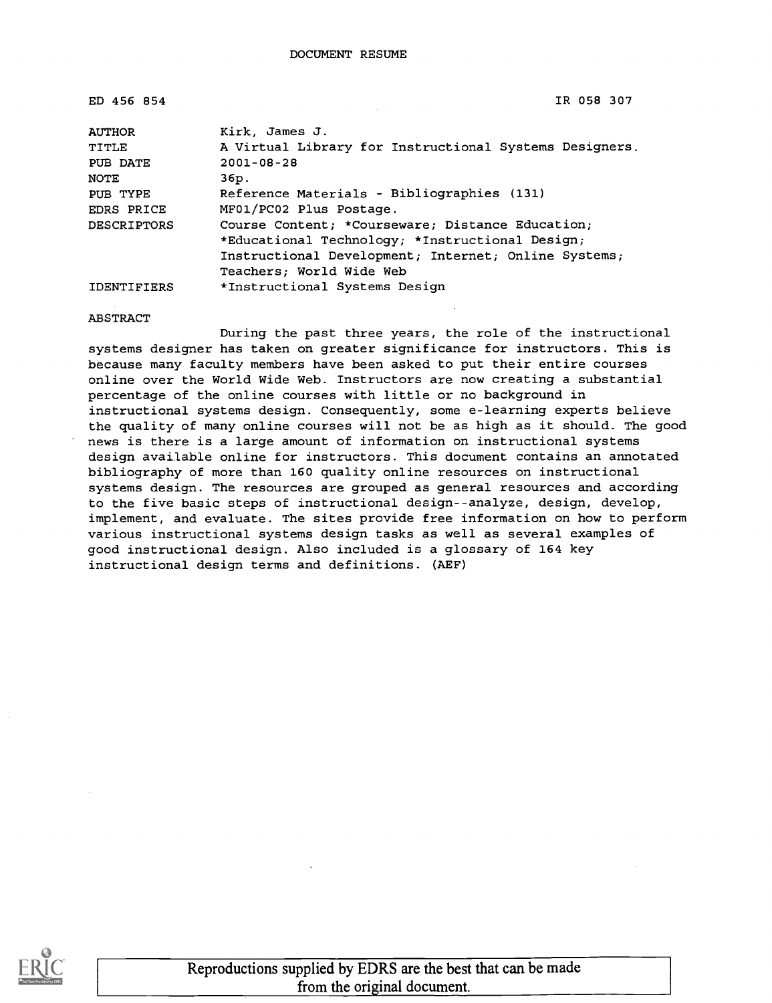| ED 456 854         | IR 058 307                                             |
|--------------------|--------------------------------------------------------|
| <b>AUTHOR</b>      | Kirk, James J.                                         |
| TITLE              | A Virtual Library for Instructional Systems Designers. |
| PUB DATE           | $2001 - 08 - 28$                                       |
| NOTE               | 36p.                                                   |
| PUB TYPE           | Reference Materials - Bibliographies (131)             |
| EDRS PRICE         | MF01/PC02 Plus Postage.                                |
| <b>DESCRIPTORS</b> | Course Content; *Courseware; Distance Education;       |
|                    | *Educational Technology; *Instructional Design;        |
|                    | Instructional Development; Internet; Online Systems;   |
|                    | Teachers; World Wide Web                               |
| <b>IDENTIFIERS</b> | *Instructional Systems Design                          |

ABSTRACT

During the past three years, the role of the instructional systems designer has taken on greater significance for instructors. This is because many faculty members have been asked to put their entire courses online over the World Wide Web. Instructors are now creating a substantial percentage of the online courses with little or no background in instructional systems design. Consequently, some e-learning experts believe the quality of many online courses will not be as high as it should. The good news is there is a large amount of information on instructional systems design available online for instructors. This document contains an annotated bibliography of more than 160 quality online resources on instructional systems design. The resources are grouped as general resources and according to the five basic steps of instructional design--analyze, design, develop, implement, and evaluate. The sites provide free information on how to perform various instructional systems design tasks as well as several examples of good instructional design. Also included is a glossary of 164 key instructional design terms and definitions. (AEF)



Reproductions supplied by EDRS are the best that can be made from the original document.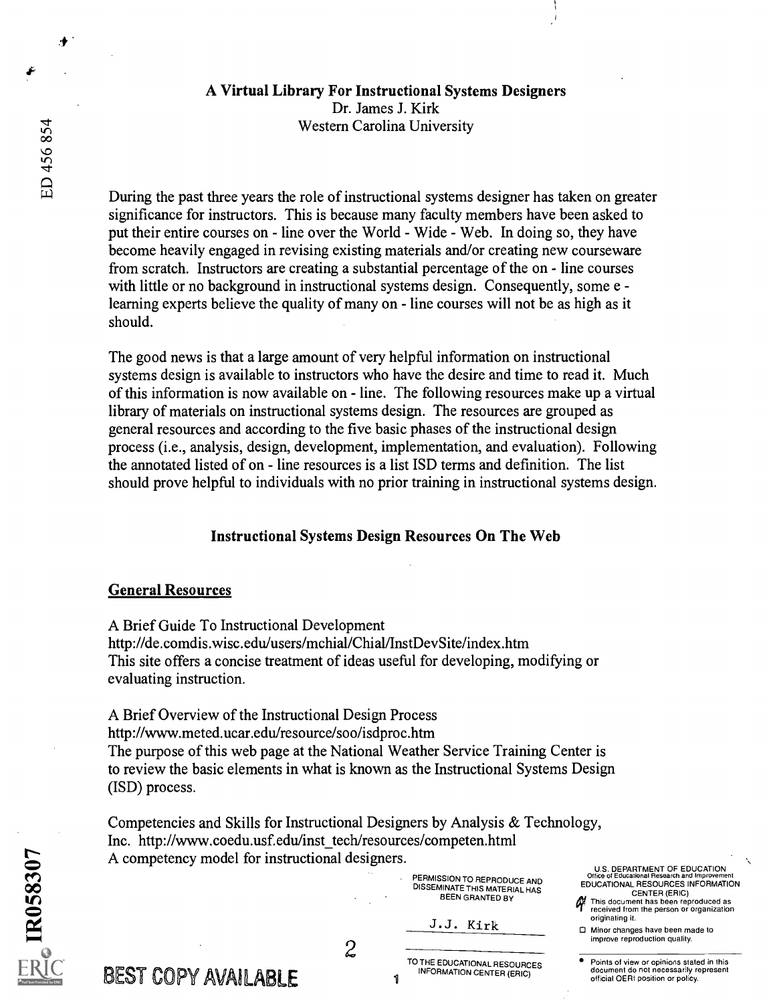# A Virtual Library For Instructional Systems Designers Dr. James J. Kirk

Western Carolina University

During the past three years the role of instructional systems designer has taken on greater significance for instructors. This is because many faculty members have been asked to put their entire courses on - line over the World - Wide - Web. In doing so, they have become heavily engaged in revising existing materials and/or creating new courseware from scratch. Instructors are creating a substantial percentage of the on - line courses with little or no background in instructional systems design. Consequently, some e learning experts believe the quality of many on - line courses will not be as high as it should.

The good news is that a large amount of very helpful information on instructional systems design is available to instructors who have the desire and time to read it. Much of this information is now available on - line. The following resources make up a virtual library of materials on instructional systems design. The resources are grouped as general resources and according to the five basic phases of the instructional design process (i.e., analysis, design, development, implementation, and evaluation). Following the annotated listed of on - line resources is a list ISD terms and definition. The list should prove helpful to individuals with no prior training in instructional systems design.

### Instructional Systems Design Resources On The Web

#### General Resources

A Brief Guide To Instructional Development http://de.comdis.wisc.edu/users/mchial/Chial/InstDevSite/index.htm This site offers a concise treatment of ideas useful for developing, modifying or evaluating instruction.

A Brief Overview of the Instructional Design Process http://www.meted.ucar.edulresource/soo/isdproc.htm The purpose of this web page at the National Weather Service Training Center is to review the basic elements in what is known as the Instructional Systems Design (ISD) process.

Competencies and Skills for Instructional Designers by Analysis & Technology, Inc. http://www.coedu.usf.edu/inst\_tech/resources/competen.html A competency model for instructional designers.

> PERMISSION TO REPRODUCE AND DISSEMINATE THIS MATERIAL HAS BEEN GRANTED BY

J.J. Kirk

U.S. DEPARTMENT OF EDUCATION Office of Educational Research and lreprovernent EDUCATIONAL RESOURCES INFORMATION CENTER (ERIC)

This document has been reproduced as received from the person or organization originating it.

O Minor changes have been made to improve reproduction quality.

Points of view or opinions stated in this document do not necessarlly represent official OEFII position or policy.

R058307

.∔

BEST COPY AVAILABLE

2<br>TO THE EDUCATIONAL RESOURCES INFORMATION CENTER (ERIC)

 $\mathbf{1}$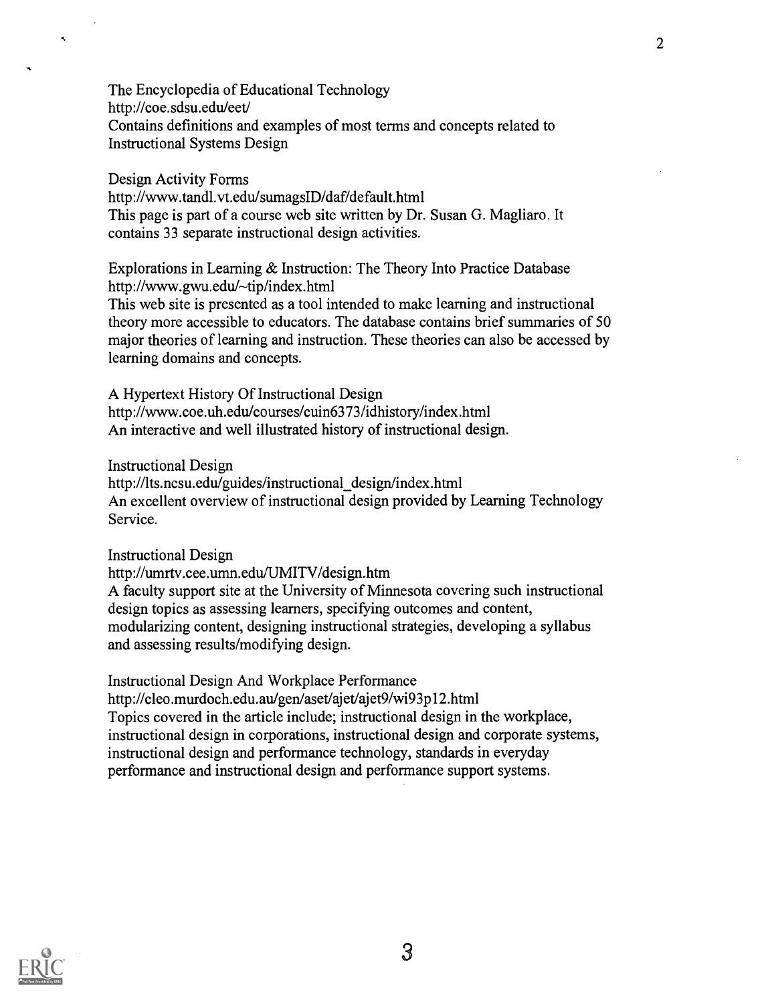The Encyclopedia of Educational Technology http://coe.sdsu.edu/eet/ Contains definitions and examples of most terms and concepts related to Instructional Systems Design

2

Design Activity Forms http://www.tandl.vt.edu/sumagsID/daf/default.html This page is part of a course web site written by Dr. Susan G. Magliaro. It contains 33 separate instructional design activities.

Explorations in Learning & Instruction: The Theory Into Practice Database http://www.gwu.edu/~tip/index.html

This web site is presented as a tool intended to make learning and instructional theory more accessible to educators. The database contains brief summaries of 50 major theories of learning and instruction. These theories can also be accessed by learning domains and concepts.

A Hypertext History Of Instructional Design http://www.coe.uh.edu/courses/cuin6373/idhistory/index.html An interactive and well illustrated history of instructional design.

Instructional Design

 $\tilde{\mathbf{A}}$ 

http://lts.ncsu.edu/guides/instructional design/index.html An excellent overview of instructional design provided by Learning Technology Service.

Instructional Design

http://umrtv.cee.umn.edu/UMITV/design.htm

A faculty support site at the University of Minnesota covering such instructional design topics as assessing learners, specifying outcomes and content, modularizing content, designing instructional strategies, developing a syllabus and assessing results/modifying design.

Instructional Design And Workplace Performance http://cleo.murdoch.edu.au/gen/aset/ajet/ajet9/wi93p12.html Topics covered in the article include; instructional design in the workplace, instructional design in corporations, instructional design and corporate systems, instructional design and performance technology, standards in everyday performance and instructional design and performance support systems.

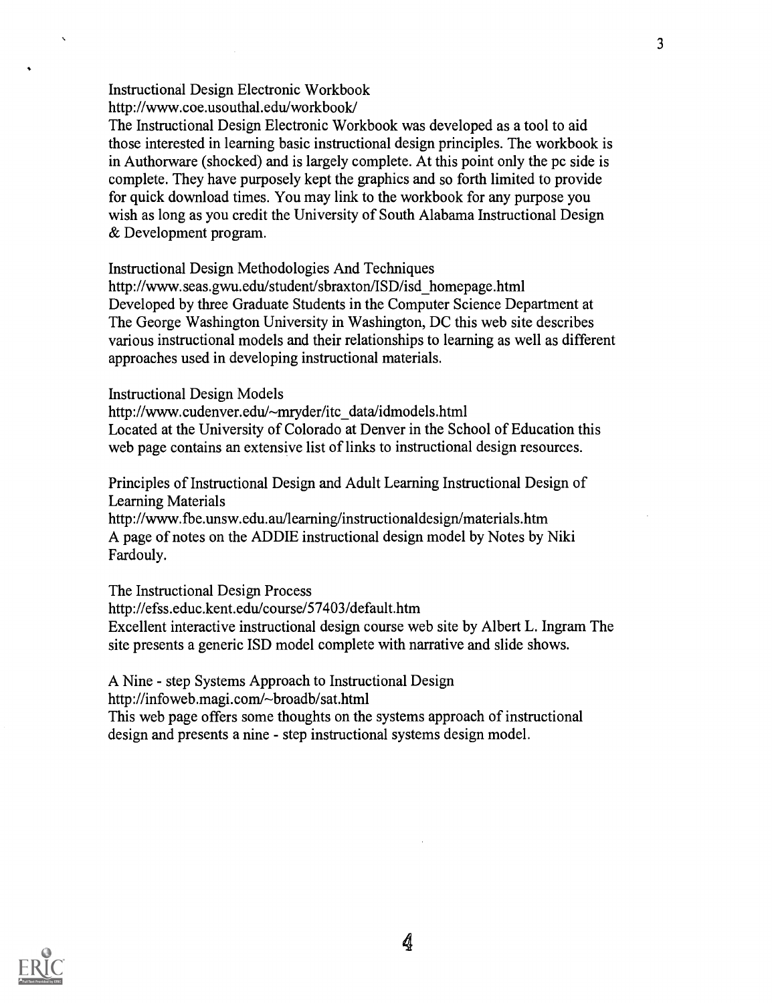Instructional Design Electronic Workbook http://www.coe.usouthal.edu/workbook/

The Instructional Design Electronic Workbook was developed as a tool to aid those interested in learning basic instructional design principles. The workbook is in Authorware (shocked) and is largely complete. At this point only the pc side is complete. They have purposely kept the graphics and so forth limited to provide for quick download times. You may link to the workbook for any purpose you wish as long as you credit the University of South Alabama Instructional Design & Development program.

Instructional Design Methodologies And Techniques

http://www.seas.gwu.edu/student/sbraxton/ISD/isd\_homepage.html Developed by three Graduate Students in the Computer Science Department at The George Washington University in Washington, DC this web site describes various instructional models and their relationships to learning as well as different approaches used in developing instructional materials.

Instructional Design Models

http://www.cudenver.edu/~mryder/itc\_data/idmodels.html Located at the University of Colorado at Denver in the School of Education this web page contains an extensive list of links to instructional design resources.

Principles of Instructional Design and Adult Learning Instructional Design of Learning Materials

http ://www. fbe.unsw. edu. au/learning/instructionalde sign/material s. htm A page of notes on the ADDIE instructional design model by Notes by Niki Fardouly.

The Instructional Design Process http://efss.educ.kent.edu/course/57403/default.htm Excellent interactive instructional design course web site by Albert L. Ingram The site presents a generic ISD model complete with narrative and slide shows.

A Nine - step Systems Approach to Instructional Design

http://infoweb.magi.com/~broadb/sat.html

This web page offers some thoughts on the systems approach of instructional design and presents a nine - step instructional systems design model.



4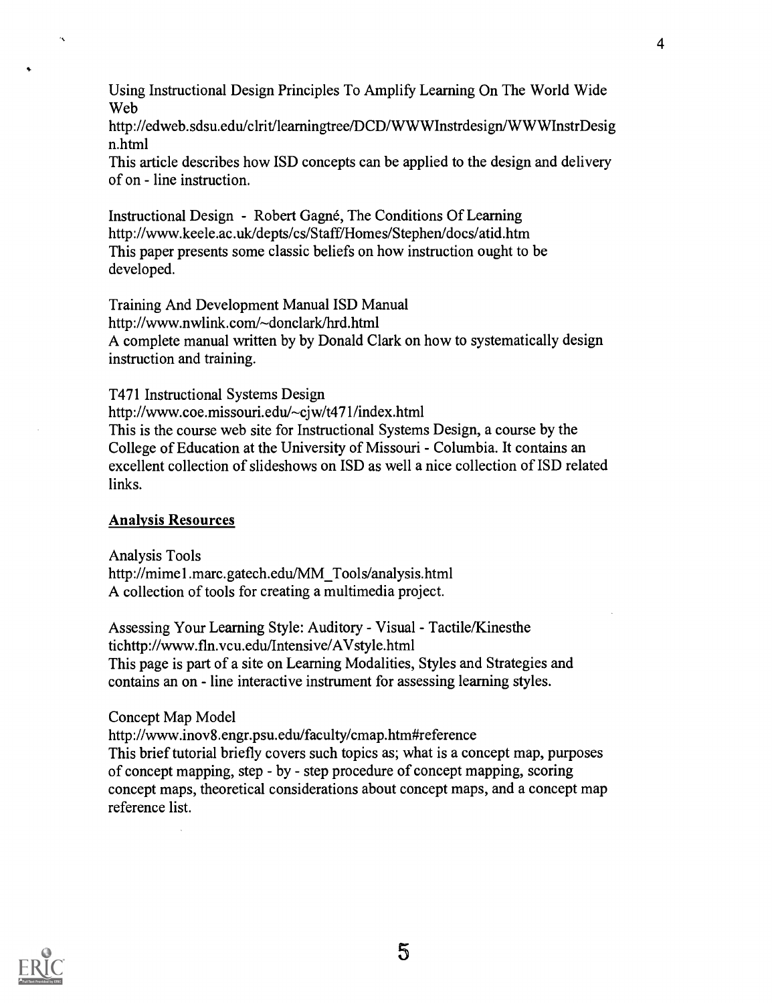Using Instructional Design Principles To Amplify Learning On The World Wide Web

http ://edweb. sdsu.edu/clrit/learningtree/DCD/WWWInstrdesign/WWWInstrDesig n.html

This article describes how ISD concepts can be applied to the design and delivery of on - line instruction.

Instructional Design - Robert Gagné, The Conditions Of Learning http://www.keele.ac.uk/depts/cs/Staff/Homes/Stephen/docs/atid.htm This paper presents some classic beliefs on how instruction ought to be developed.

Training And Development Manual ISD Manual http://www.nwlink.com/~donclark/hrd.html A complete manual written by by Donald Clark on how to systematically design instruction and training.

T471 Instructional Systems Design

http://www.coe.missouri.edu/~cjw/t471/index.html This is the course web site for Instructional Systems Design, a course by the College of Education at the University of Missouri - Columbia. It contains an excellent collection of slideshows on ISD as well a nice collection of ISD related links.

#### Analysis Resources

Analysis Tools http://mime 1 .marc.gatech.edu/MM\_Tools/analysis.html A collection of tools for creating a multimedia project.

Assessing Your Learning Style: Auditory - Visual - Tactile/Kinesthe tichttp://www.fin.vcu.edu/Intensive/AVstyle.html This page is part of a site on Learning Modalities, Styles and Strategies and contains an on - line interactive instrument for assessing learning styles.

Concept Map Model

http://www.inov8.engr.psu.edu/faculty/cmap.htm#reference This brief tutorial briefly covers such topics as; what is a concept map, purposes of concept mapping, step - by - step procedure of concept mapping, scoring concept maps, theoretical considerations about concept maps, and a concept map reference list.

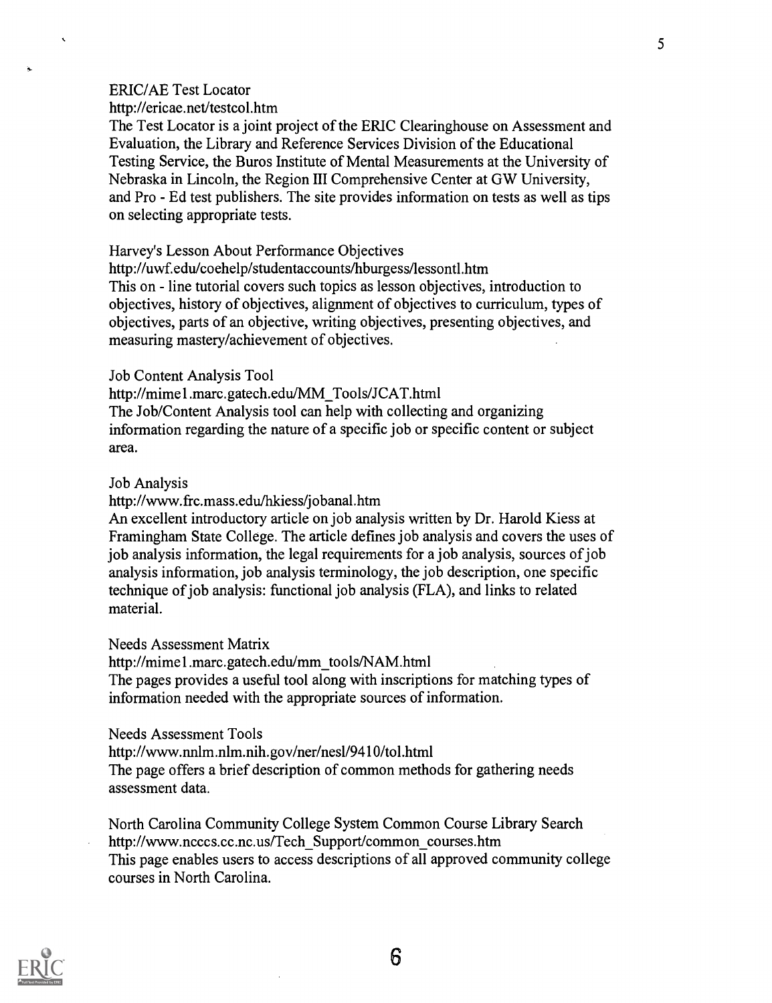#### ERIC/AE Test Locator

http://ericae.net/testcol.htm

The Test Locator is a joint project of the ERIC Clearinghouse on Assessment and Evaluation, the Library and Reference Services Division of the Educational Testing Service, the Buros Institute of Mental Measurements at the University of Nebraska in Lincoln, the Region III Comprehensive Center at GW University, and Pro - Ed test publishers. The site provides information on tests as well as tips on selecting appropriate tests.

Harvey's Lesson About Performance Objectives

http://uwf.edu/coehelp/studentaccounts/hburgess/lessontl.htm

This on - line tutorial covers such topics as lesson objectives, introduction to objectives, history of objectives, alignment of objectives to curriculum, types of objectives, parts of an objective, writing objectives, presenting objectives, and measuring mastery/achievement of objectives.

#### Job Content Analysis Tool

http://mimel.marc.gatech.edu/MM\_Tools/JCAT.html The Job/Content Analysis tool can help with collecting and organizing information regarding the nature of a specific job or specific content or subject area.

#### Job Analysis

http://www.frc.mass.edu/hkiess/jobanal.htm

An excellent introductory article on job analysis written by Dr. Harold Kiess at Framingham State College. The article defines job analysis and covers the uses of job analysis information, the legal requirements for a job analysis, sources of job analysis information, job analysis terminology, the job description, one specific technique of job analysis: functional job analysis (FLA), and links to related material.

Needs Assessment Matrix

http://mimel.marc.gatech.edu/mm\_tools/NAM.html

The pages provides a useful tool along with inscriptions for matching types of information needed with the appropriate sources of information.

Needs Assessment Tools

http://www.nnlm.nlm.nih.gov/ner/nes1/9410/tol.html

The page offers a brief description of common methods for gathering needs assessment data.

North Carolina Community College System Common Course Library Search http://www.ncccs.cc.nc.us/Tech\_Support/common\_courses.htm This page enables users to access descriptions of all approved community college courses in North Carolina.

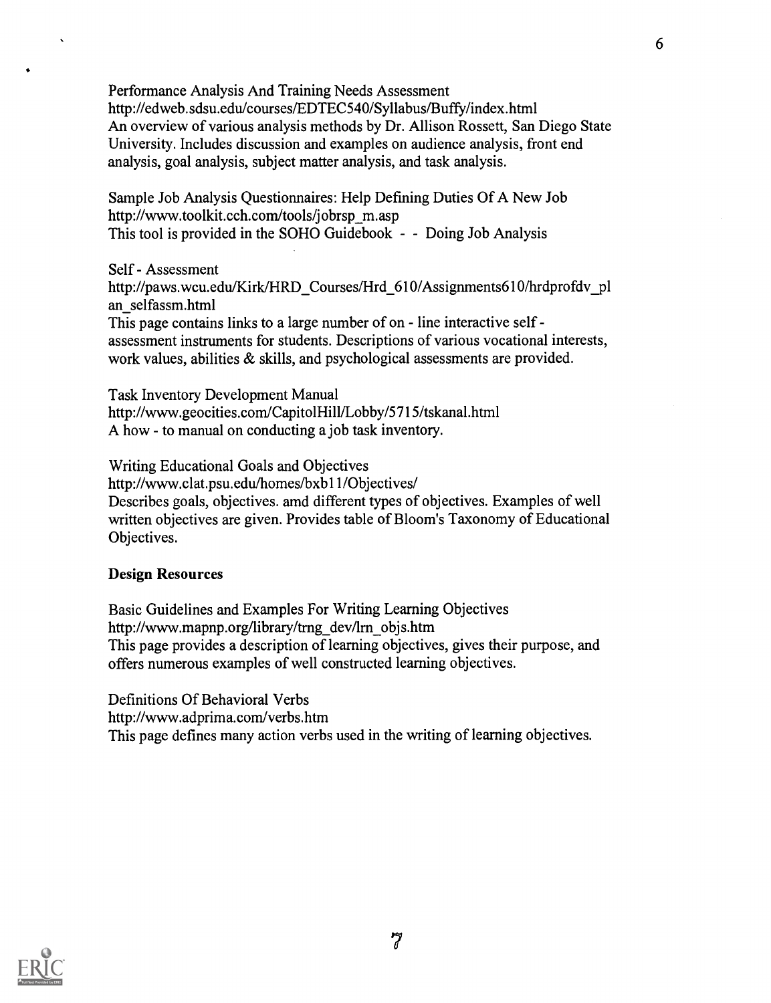Performance Analysis And Training Needs Assessment http://edweb.sdsu.edu/courses/EDTEC540/Syllabus/Buffy/index.html An overview of various analysis methods by Dr. Allison Rossett, San Diego State University. Includes discussion and examples on audience analysis, front end analysis, goal analysis, subject matter analysis, and task analysis.

Sample Job Analysis Questionnaires: Help Defining Duties Of A New Job http://www.toolkit.cch.com/tools/jobrsp\_m.asp This tool is provided in the SOHO Guidebook - - Doing Job Analysis

Self - Assessment http://paws.wcu.edu/Kirk/HRD\_Courses/Hrd\_610/Assignments610/hrdprofdv\_pl an\_selfassm.html

This page contains links to a large number of on - line interactive self assessment instruments for students. Descriptions of various vocational interests, work values, abilities & skills, and psychological assessments are provided.

Task Inventory Development Manual http://www.geocities.com/CapitolHill/Lobby/5715/tskanal.html A how - to manual on conducting a job task inventory.

Writing Educational Goals and Objectives http://www.clat.psu.edu/homes/bxb11/Objectives/ Describes goals, objectives. amd different types of objectives. Examples of well written objectives are given. Provides table of Bloom's Taxonomy of Educational Objectives.

## Design Resources

Basic Guidelines and Examples For Writing Learning Objectives http://www.mapnp.org/library/trng\_dev/lrn\_objs.htm This page provides a description of learning objectives, gives their purpose, and offers numerous examples of well constructed learning objectives.

Definitions Of Behavioral Verbs http://www.adprima.com/verbs.htm This page defines many action verbs used in the writing of learning objectives.

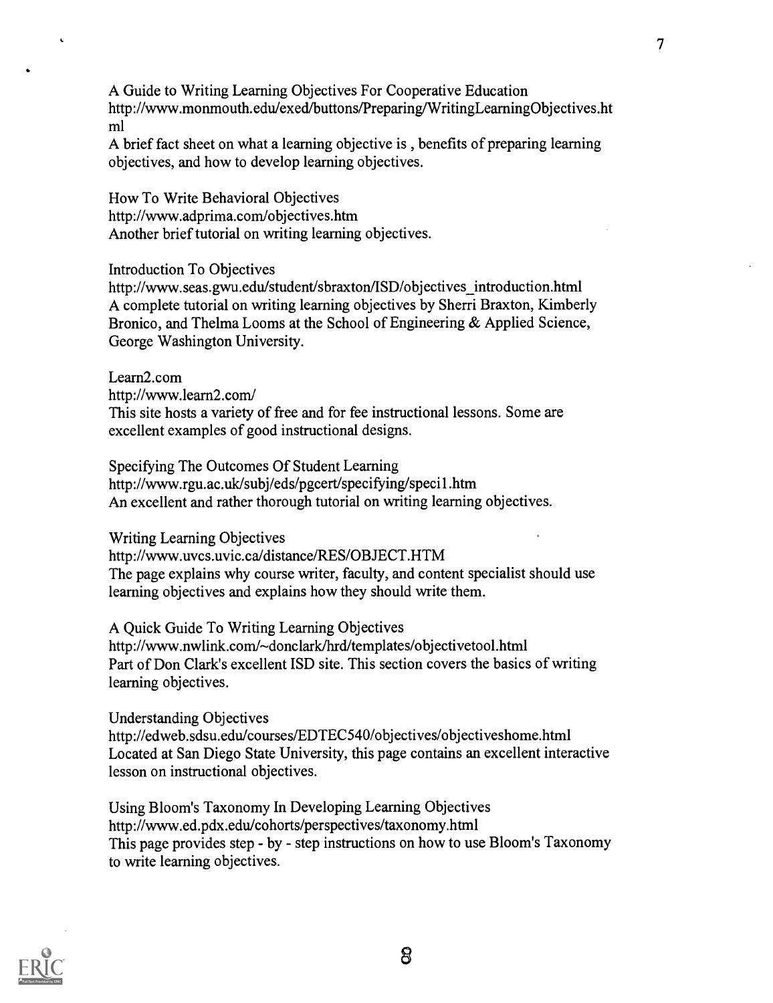A Guide to Writing Learning Objectives For Cooperative Education http://www.monmouth.edu/exed/buttons/Preparing/WritingLearningObjectives.ht ml

7

A brief fact sheet on what a learning objective is , benefits of preparing learning objectives, and how to develop learning objectives.

How To Write Behavioral Objectives http://www.adprima.com/objectives.htm Another brief tutorial on writing learning objectives.

Introduction To Objectives

http://www.seas.gwu.edu/student/sbraxton/ISD/objectives\_introduction.html A complete tutorial on writing learning objectives by Sherri Braxton, Kimberly Bronico, and Thelma Looms at the School of Engineering & Applied Science, George Washington University.

Learn2.com

http://www.learn2.com/

This site hosts a variety of free and for fee instructional lessons. Some are excellent examples of good instructional designs.

Specifying The Outcomes Of Student Learning http://www.rgu.ac.uk/subj/eds/pgcert/specifying/specil.htm An excellent and rather thorough tutorial on writing learning objectives.

Writing Learning Objectives

http://www.uvcs.uvic.ca/distance/RES/OBJECT.HTM The page explains why course writer, faculty, and content specialist should use learning objectives and explains how they should write them.

A Quick Guide To Writing Learning Objectives

http://www.nwlink.com/~donclark/hrd/templates/objectivetool.html Part of Don Clark's excellent ISD site. This section covers the basics of writing learning objectives.

Understanding Objectives

http://edweb.sdsu.edu/courses/EDTEC540/objectives/objectiveshome.html Located at San Diego State University, this page contains an excellent interactive lesson on instructional objectives.

Using Bloom's Taxonomy In Developing Learning Objectives http://www.ed.pdx.edulcohorts/perspectives/taxonomy.html This page provides step - by - step instructions on how to use Bloom's Taxonomy to write learning objectives.

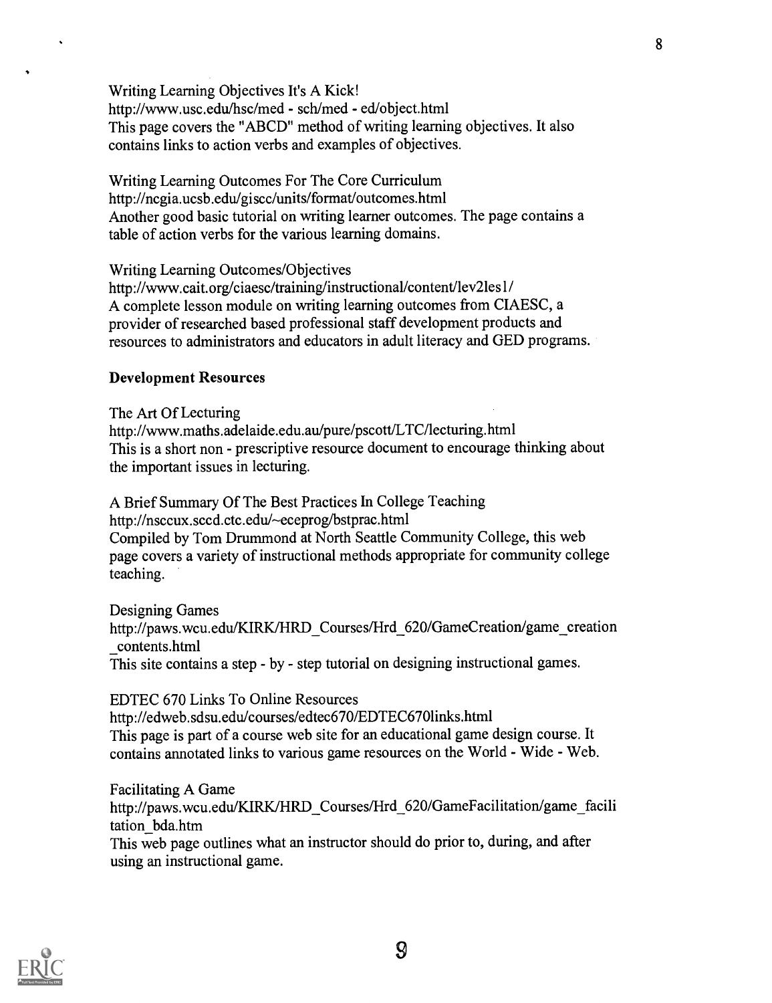Writing Learning Objectives It's A Kick! http://www.usc.edu/hsc/med - sch/med - ed/object.html This page covers the "ABCD" method of writing learning objectives. It also contains links to action verbs and examples of objectives.

Writing Learning Outcomes For The Core Curriculum http://ncgia.ucsb.edu/giscc/units/format/outcomes.html Another good basic tutorial on writing learner outcomes. The page contains a table of action verbs for the various learning domains.

Writing Learning Outcomes/Objectives

http://www.cait.org/ciaesc/training/instructional/content/lev2les1/ A complete lesson module on writing learning outcomes from CIAESC, a provider of researched based professional staff development products and resources to administrators and educators in adult literacy and GED programs.

#### Development Resources

The Art Of Lecturing http://www.maths.adelaide.edu.au/pure/pscott/LTC/lecturing.html This is a short non - prescriptive resource document to encourage thinking about the important issues in lecturing.

A Brief Summary Of The Best Practices In College Teaching http://nsccux.sccd.ctc.edu/~eceprog/bstprac.html Compiled by Tom Drummond at North Seattle Community College, this web page covers a variety of instructional methods appropriate for community college teaching.

Designing Games http://paws.wcu.edu/KIRK/HRD\_Courses/Hrd\_620/GameCreation/game\_creation contents.html This site contains a step - by - step tutorial on designing instructional games.

EDTEC 670 Links To Online Resources http://edweb. sdsu.edu/courses/edtec670/EDTEC6701inks.html This page is part of a course web site for an educational game design course. It contains annotated links to various game resources on the World - Wide - Web.

Facilitating A Game http://paws.wcu.edu/KIRK/HRD\_Courses/Hrd\_620/GameFacilitation/game\_facili tation\_bda.htm This web page outlines what an instructor should do prior to, during, and after

using an instructional game.

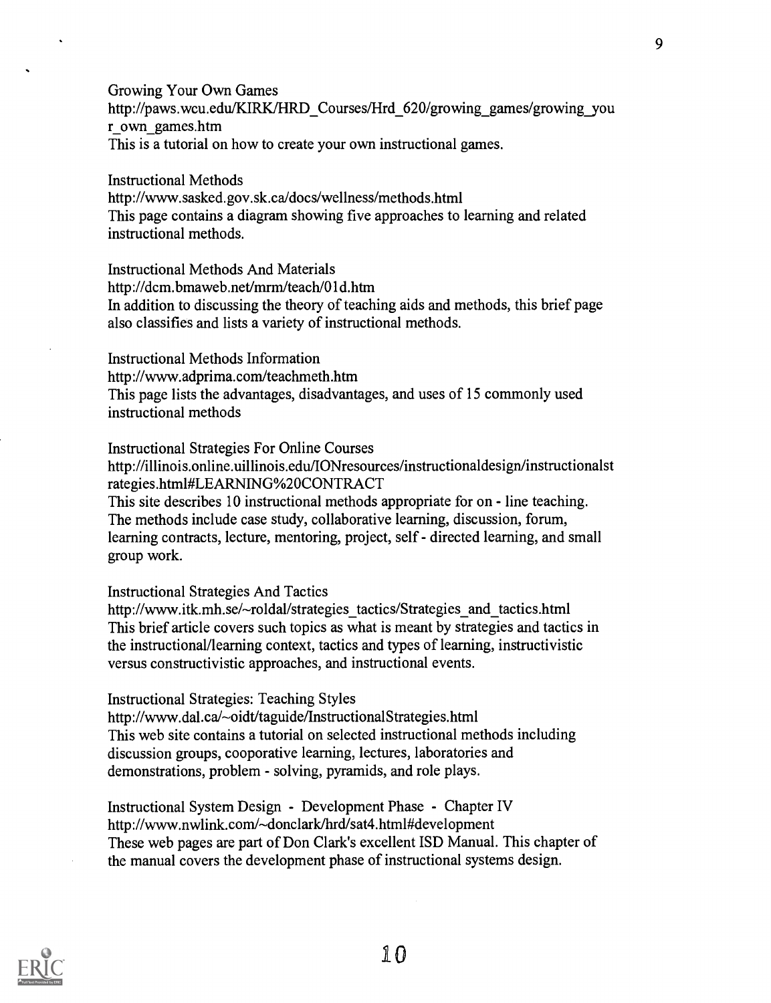Growing Your Own Games http://paws.wcu.edu/KIRK/HRD\_Courses/Hrd\_620/growing\_games/growing\_you r\_own\_games.htm This is a tutorial on how to create your own instructional games.

Instructional Methods http://www.sasked.gov.sk.ca/docs/wellness/methods.html This page contains a diagram showing five approaches to learning and related instructional methods.

Instructional Methods And Materials http://dcm.bmaweb.net/mrm/teach/Old.htm In addition to discussing the theory of teaching aids and methods, this brief page also classifies and lists a variety of instructional methods.

Instructional Methods Information http://www.adprima.com/teachmeth.htm This page lists the advantages, disadvantages, and uses of 15 commonly used instructional methods

Instructional Strategies For Online Courses http://illinois.online.uillinois.edu/IONresources/instructionaldesign/instructionalst rategies.html#LEARNING%20CONTRACT This site describes 10 instructional methods appropriate for on - line teaching. The methods include case study, collaborative learning, discussion, forum, learning contracts, lecture, mentoring, project, self - directed learning, and small group work.

Instructional Strategies And Tactics

http://www.itk.mh.se/~roldal/strategies\_tactics/Strategies\_and\_tactics.html This brief article covers such topics as what is meant by strategies and tactics in the instructional/learning context, tactics and types of learning, instructivistic versus constructivistic approaches, and instructional events.

Instructional Strategies: Teaching Styles

http://www.dal.ca/~oidt/taguide/InstructionalStrategies.html This web site contains a tutorial on selected instructional methods including discussion groups, cooporative learning, lectures, laboratories and demonstrations, problem - solving, pyramids, and role plays.

Instructional System Design - Development Phase - Chapter IV http://www.nwlink.com/-donclark/hrd/sat4.html#development These web pages are part of Don Clark's excellent ISD Manual. This chapter of the manual covers the development phase of instructional systems design.

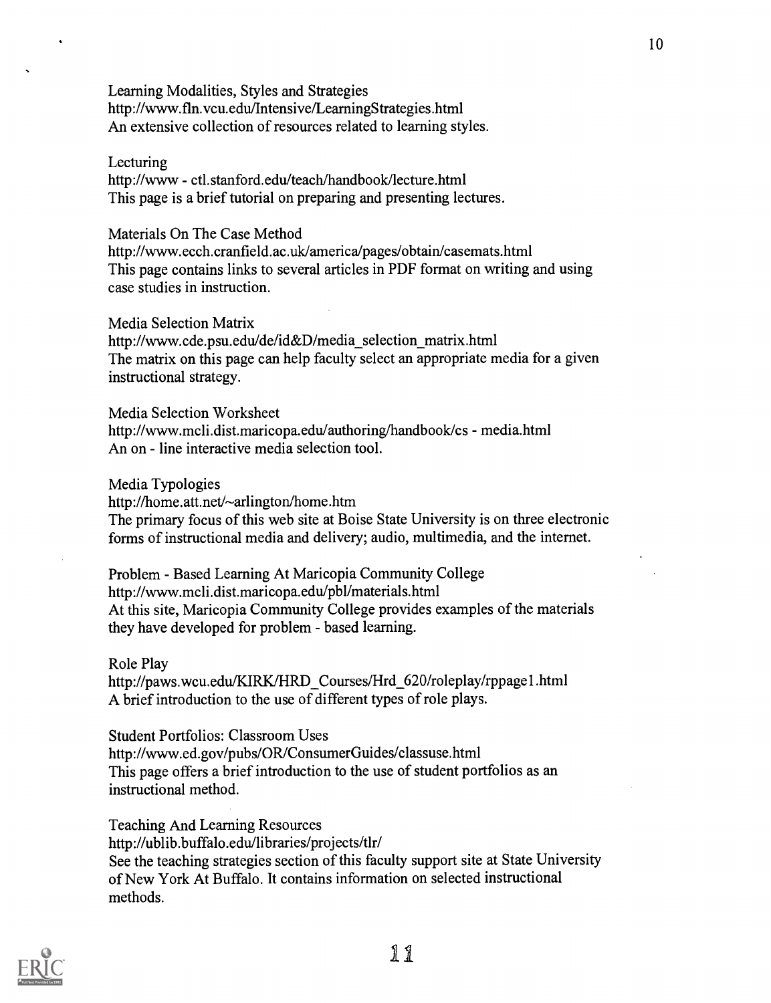Learning Modalities, Styles and Strategies http://www.fln.vcu.edu/Intensive/LearningStrategies.html An extensive collection of resources related to learning styles.

#### Lecturing

http://www - ctl.stanford.edu/teach/handbook/lecture.html This page is a brief tutorial on preparing and presenting lectures.

#### Materials On The Case Method

http://www.ecch.cranfield.ac.uk/america/pages/obtain/casemats.html This page contains links to several articles in PDF format on writing and using case studies in instruction.

#### Media Selection Matrix

http://www.cde.psu.edu/de/id&D/media\_selection\_matrix.html The matrix on this page can help faculty select an appropriate media for a given instructional strategy.

#### Media Selection Worksheet

http://www.mcli.dist.maricopa.edu/authoring/handbook/cs - me dia.html An on - line interactive media selection tool.

### Media Typologies

http://home.att.net/~arlington/home.htm

The primary focus of this web site at Boise State University is on three electronic forms of instructional media and delivery; audio, multimedia, and the internet.

Problem - Based Learning At Maricopia Community College http://www.mcli.dist.maricopa.edu/pb1/materials.html At this site, Maricopia Community College provides examples of the materials they have developed for problem - based learning.

### Role Play

http://paws.wcu.edu/KIRK/HRD\_Courses/Hrd\_620/roleplay/rppage1 .html A brief introduction to the use of different types of role plays.

### Student Portfolios: Classroom Uses

http://www.ed.gov/pubs/OR/ConsumerGuides/classuse.html This page offers a brief introduction to the use of student portfolios as an instructional method.

Teaching And Learning Resources

http://ublib.buffalo.edu/libraries/projects/tln

See the teaching strategies section of this faculty support site at State University of New York At Buffalo. It contains information on selected instructional methods.

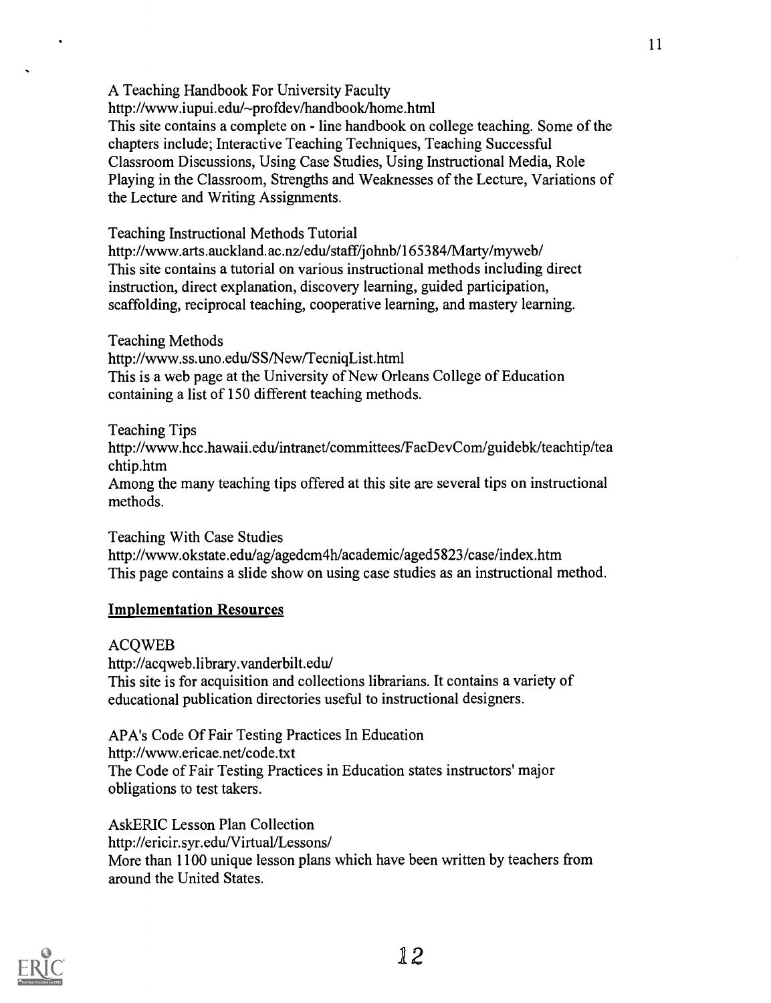A Teaching Handbook For University Faculty http://www.iupui.edu/--profdev/handbook/home.html This site contains a complete on - line handbook on college teaching. Some of the chapters include; Interactive Teaching Techniques, Teaching Successful Classroom Discussions, Using Case Studies, Using Instructional Media, Role Playing in the Classroom, Strengths and Weaknesses of the Lecture, Variations of the Lecture and Writing Assignments.

Teaching Instructional Methods Tutorial

http://www.arts.auckland.ac.nz/edulstaff/jolmb/165384/Marty/myweb/ This site contains a tutorial on various instructional methods including direct instruction, direct explanation, discovery learning, guided participation, scaffolding, reciprocal teaching, cooperative learning, and mastery learning.

Teaching Methods

http://www.ss.uno.edu/SS/New/TecniqList.html

This is a web page at the University of New Orleans College of Education containing a list of 150 different teaching methods.

Teaching Tips http://www.hcc.hawaii.edu/intranet/committees/FacDevCom/guidebk/teachtip/tea chtip.htm Among the many teaching tips offered at this site are several tips on instructional methods.

Teaching With Case Studies http://www.okstate.edu/ag/agedcm4h/academic/aged5823/case/index.htm This page contains a slide show on using case studies as an instructional method.

## Implementation Resources

ACQWEB

http://acqweb.library.vanderbilt.edu/ This site is for acquisition and collections librarians. It contains a variety of educational publication directories useful to instructional designers.

APA's Code Of Fair Testing Practices In Education http://www.ericae.net/code.txt The Code of Fair Testing Practices in Education states instructors' major obligations to test takers.

AskERIC Lesson Plan Collection http://ericir.syr.edu/Virtual/Lessons/ More than 1100 unique lesson plans which have been written by teachers from around the United States.

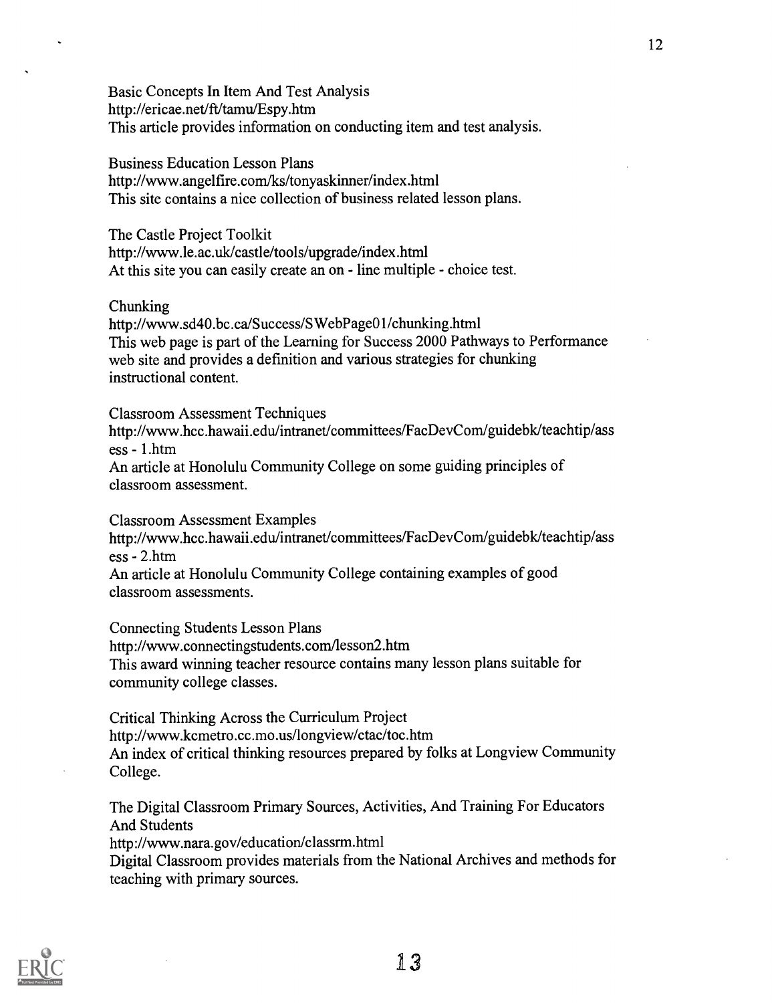Basic Concepts In Item And Test Analysis http://ericae.net/ft/tamu/Espy.htm This article provides information on conducting item and test analysis.

Business Education Lesson Plans http://www.angelfire.com/ks/tonyaskinner/index.html This site contains a nice collection of business related lesson plans.

The Castle Project Toolkit http://www.le.ac.uk/castle/tools/upgrade/index.html At this site you can easily create an on - line multiple - choice test.

Chunking

http://www.sd40.bc.ca/Success/SWebPageO1 /chunking.html This web page is part of the Learning for Success 2000 Pathways to Performance web site and provides a definition and various strategies for chunking instructional content.

Classroom Assessment Techniques http://www.hcc.hawaii.edu/intranet/committees/FacDevCom/guidebk/teachtip/ass ess - 1.htm An article at Honolulu Community College on some guiding principles of classroom assessment.

Classroom Assessment Examples http://www.hcc.hawaii.edu/intranet/committees/FacDevCom/guidebk/teachtip/ass ess - 2.htm An article at Honolulu Community College containing examples of good classroom assessments.

Connecting Students Lesson Plans http://www.connectingstudents.com/lesson2.htm This award winning teacher resource contains many lesson plans suitable for community college classes.

Critical Thinking Across the Curriculum Project http://www.kcmetro.cc.mo.us/longview/ctac/toc.htm An index of critical thinking resources prepared by folks at Longview Community College.

The Digital Classroom Primary Sources, Activities, And Training For Educators And Students

http://www.nara.gov/education/classrm.html

Digital Classroom provides materials from the National Archives and methods for teaching with primary sources.

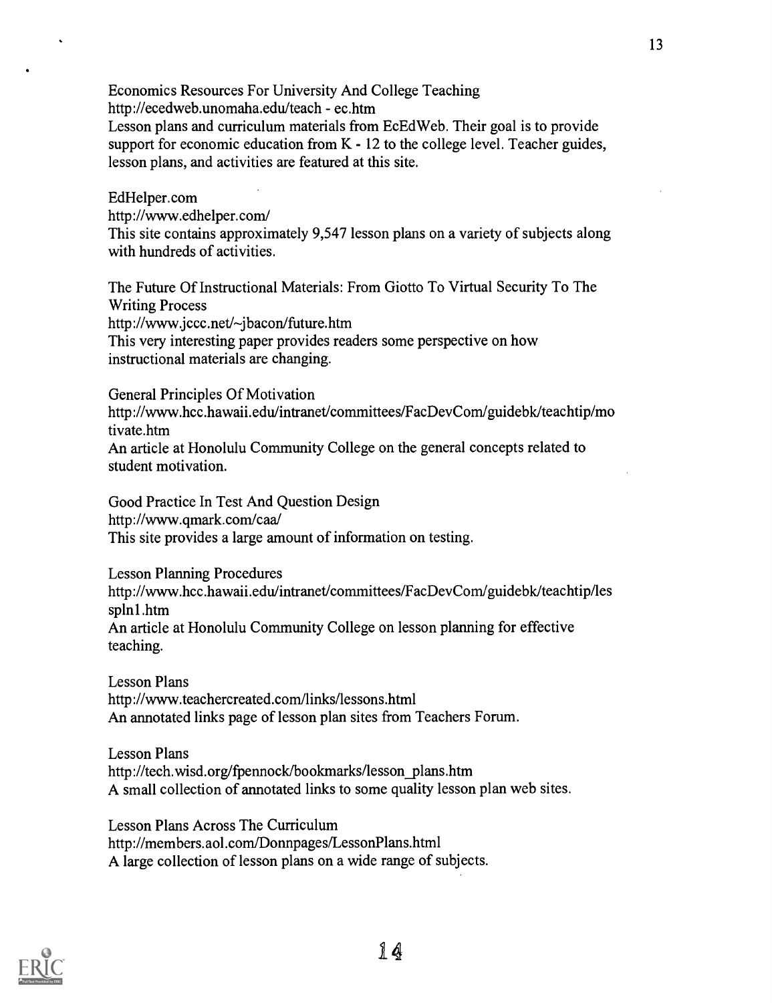Economics Resources For University And College Teaching http://ecedweb.unomaha.edu/teach - ec.htm Lesson plans and curriculum materials from EcEdWeb. Their goal is to provide support for economic education from  $K - 12$  to the college level. Teacher guides, lesson plans, and activities are featured at this site.

EdHelper.com http://www.edhelper.com/ This site contains approximately 9,547 lesson plans on a variety of subjects along with hundreds of activities.

The Future Of Instructional Materials: From Giotto To Virtual Security To The Writing Process http://www.jccc.net/~jbacon/future.htm This very interesting paper provides readers some perspective on how instructional materials are changing.

General Principles Of Motivation

http://www.hcc.hawaii.edu/intranet/committees/FacDevCom/guidebk/teachtip/mo tivate.htm

An article at Honolulu Community College on the general concepts related to student motivation.

Good Practice In Test And Question Design http://www.qmark.com/caa/ This site provides a large amount of information on testing.

Lesson Planning Procedures http://www.hcc.hawaii.edu/intranet/committees/FacDevCom/guidebk/teachtip/les spinl.htm An article at Honolulu Community College on lesson planning for effective teaching.

Lesson Plans http://www.teachercreated.com/links/lessons.html An annotated links page of lesson plan sites from Teachers Forum.

Lesson Plans http://tech.wisd.org/fpennock/bookmarks/lesson\_plans.htm A small collection of annotated links to some quality lesson plan web sites.

Lesson Plans Across The Curriculum http://members.aol.com/Donnpages/LessonPlans.html A large collection of lesson plans on a wide range of subjects.

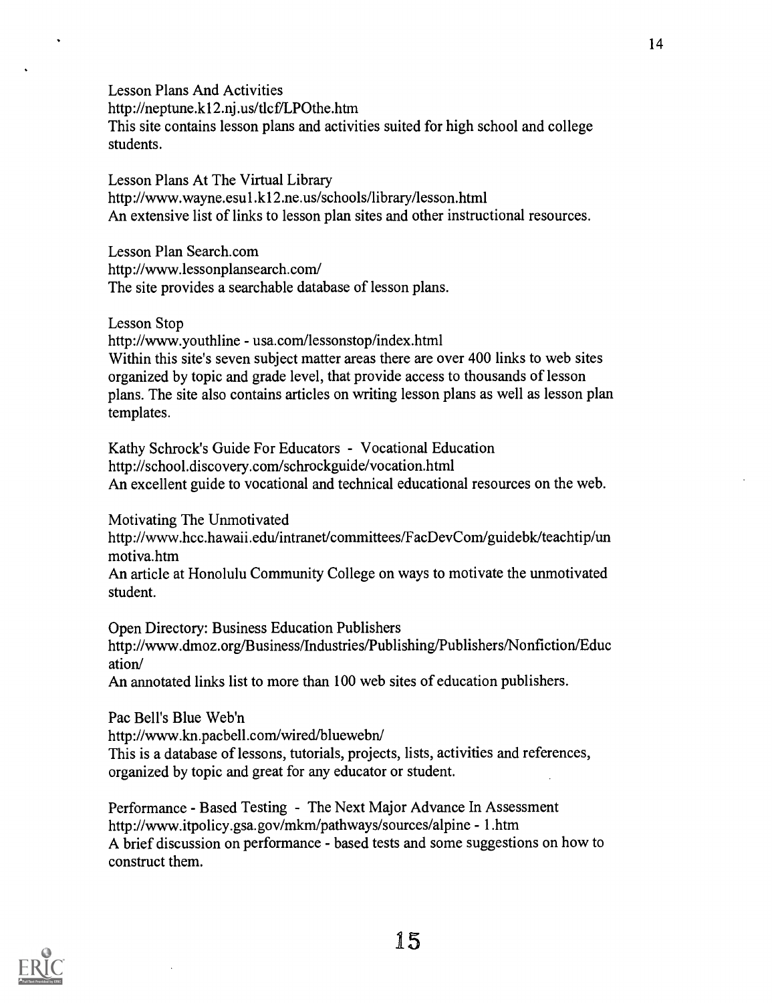Lesson Plans And Activities http://neptune.k12.nj .us/t1cf/LPOthe.htm This site contains lesson plans and activities suited for high school and college students.

Lesson Plans At The Virtual Library http://www.wayne.esul.k12.ne.us/schools/library/lesson.html An extensive list of links to lesson plan sites and other instructional resources.

Lesson Plan Search.com http://www.lessonplansearch.com/ The site provides a searchable database of lesson plans.

Lesson Stop

http://www.youthline - usa.com/lessonstop/index.html Within this site's seven subject matter areas there are over 400 links to web sites organized by topic and grade level, that provide access to thousands of lesson plans. The site also contains articles on writing lesson plans as well as lesson plan templates.

Kathy Schrock's Guide For Educators - Vocational Education http://school.discovery.com/schrockguide/vocation.html An excellent guide to vocational and technical educational resources on the web.

Motivating The Unmotivated

http ://www.hcc.hawaii.edu/intranet/committees/FacDevCom/guidebk/teachtip/un motiva.htm

An article at Honolulu Community College on ways to motivate the unmotivated student.

Open Directory: Business Education Publishers http://www.dmoz.org/Business/Industries/Publishing/Publishers/Nonfiction/Educ ation/

An annotated links list to more than 100 web sites of education publishers.

Pac Bell's Blue Web'n http://www.kn.pacbell.com/wired/bluewebn/ This is a database of lessons, tutorials, projects, lists, activities and references, organized by topic and great for any educator or student.

Performance - Based Testing - The Next Major Advance In Assessment http://www.itpolicy.gsa.gov/mkm/pathways/sources/alpine - 1.htm A brief discussion on performance - based tests and some suggestions on how to construct them.



15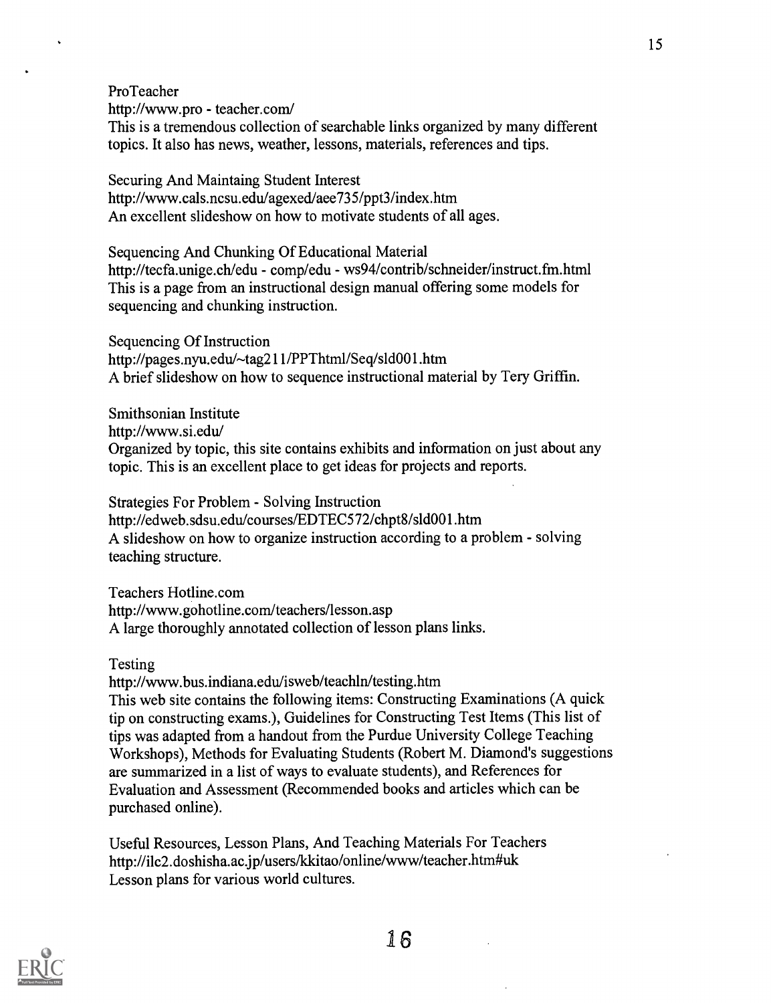ProTeacher http://www.pro - teacher.com/ This is a tremendous collection of searchable links organized by many different topics. It also has news, weather, lessons, materials, references and tips.

Securing And Maintaing Student Interest http://www.cals.ncsu.edu/agexed/aee735/ppt3/index.htm An excellent slideshow on how to motivate students of all ages.

Sequencing And Chunking Of Educational Material http://tecfa.unige.ch/edu - comp/edu - ws94/contrib/schneider/instruct.fm.html This is a page from an instructional design manual offering some models for sequencing and chunking instruction.

Sequencing Of Instruction http://pages.nyu.edu/~tag211/PPThtml/Seq/s1d001.htm A brief slideshow on how to sequence instructional material by Tery Griffin.

Smithsonian Institute http://www.si.edu/ Organized by topic, this site contains exhibits and information on just about any topic. This is an excellent place to get ideas for projects and reports.

Strategies For Problem - Solving Instruction http://edweb.sdsu.edulcourses/EDTEC572/chpt8/s1d001.htm A slideshow on how to organize instruction according to a problem - solving teaching structure.

Teachers Hotline.com http://www.gohotline.com/teachers/lesson.asp A large thoroughly annotated collection of lesson plans links.

Testing

http://www.bus.indiana.edu/isweb/teachln/testing.htm This web site contains the following items: Constructing Examinations (A quick tip on constructing exams.), Guidelines for Constructing Test Items (This list of tips was adapted from a handout from the Purdue University College Teaching Workshops), Methods for Evaluating Students (Robert M. Diamond's suggestions are summarized in a list of ways to evaluate students), and References for Evaluation and Assessment (Recommended books and articles which can be purchased online).

Useful Resources, Lesson Plans, And Teaching Materials For Teachers http://i1c2.doshisha.acjp/users/kkitao/online/www/teacher.htm#uk Lesson plans for various world cultures.

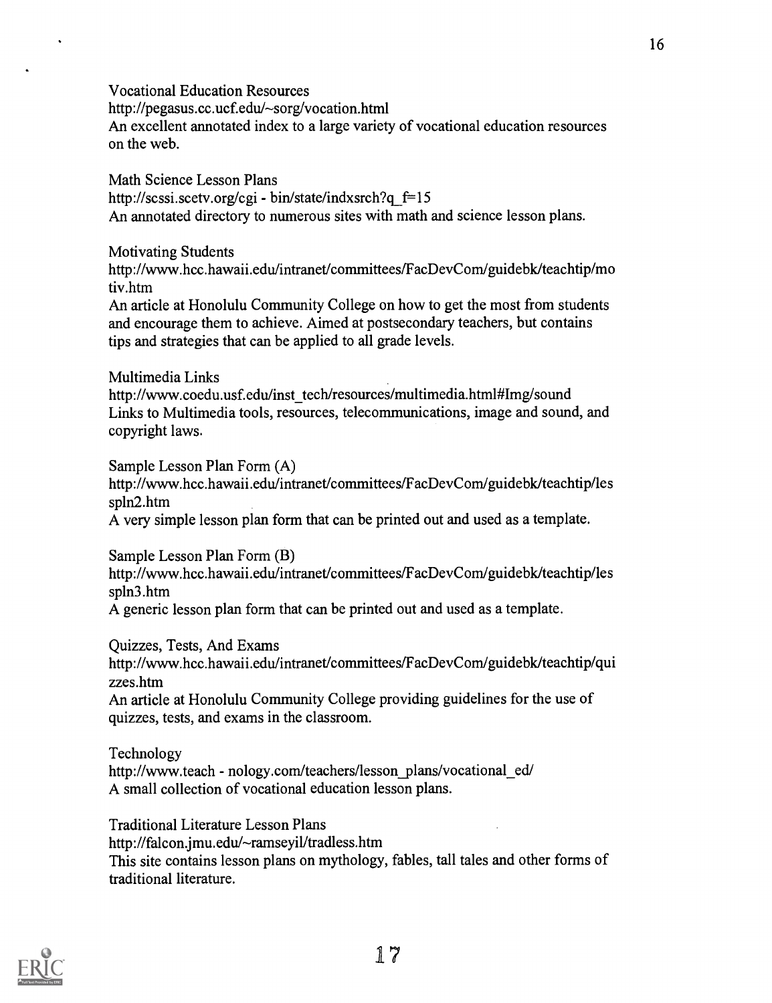Vocational Education Resources http://pegasus.cc.ucf.edu/~sorg/vocation.html An excellent annotated index to a large variety of vocational education resources on the web.

Math Science Lesson Plans http://scssi.scetv.org/cgi - bin/state/indxsrch?q $f=15$ An annotated directory to numerous sites with math and science lesson plans.

Motivating Students

http://www.hcc.hawaii.edu/intranet/committees/FacDevCom/guidebk/teachtip/mo tiv.htm

An article at Honolulu Community College on how to get the most from students and encourage them to achieve. Aimed at postsecondary teachers, but contains tips and strategies that can be applied to all grade levels.

### Multimedia Links

http://www.coedu.usf.edu/inst\_tech/resources/multimedia.html#Img/sound Links to Multimedia tools, resources, telecommunications, image and sound, and copyright laws.

Sample Lesson Plan Form (A) http://www.hcc.hawaii.edu/intranet/committees/FacDevCom/guidebk/teachtip/les spin2.htm A very simple lesson plan form that can be printed out and used as a template.

Sample Lesson Plan Form (B)

http://www.hcc.hawaii.edu/intranet/committees/FacDevCom/guidebk/teachtip/les spin3.htm

A generic lesson plan form that can be printed out and used as a template.

Quizzes, Tests, And Exams

http://www.hcc.hawaii.edu/intranet/committees/FacDevCom/guidebk/teachtip/qui zzes.htm

An article at Honolulu Community College providing guidelines for the use of quizzes, tests, and exams in the classroom.

Technology

http://www.teach - nology.com/teachers/lesson\_plans/vocational\_ed/ A small collection of vocational education lesson plans.

Traditional Literature Lesson Plans

http://falcon.jmu.edu/~ramseyil/tradless.htm

This site contains lesson plans on mythology, fables, tall tales and other forms of traditional literature.

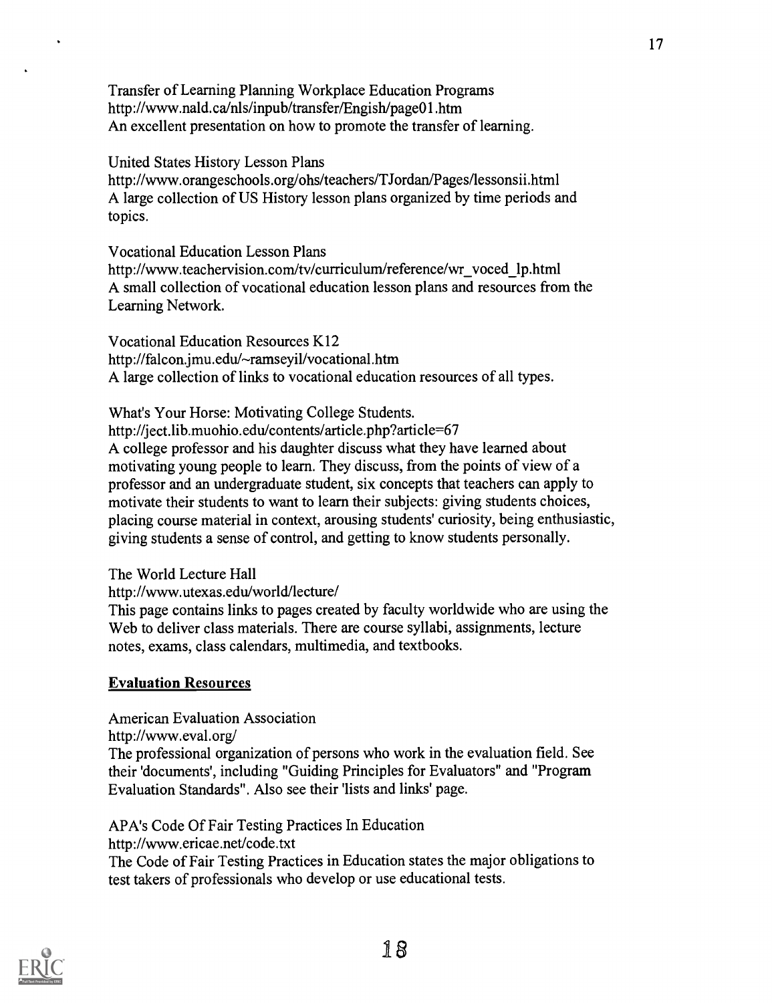Transfer of Learning Planning Workplace Education Programs http://www.nald.ca/n1s/inpub/transfer/Engish/pageOl.htm An excellent presentation on how to promote the transfer of learning.

### United States History Lesson Plans

http://www.orangeschools.org/ohs/teachers/TJordan/Pages/lessonsii.html A large collection of US History lesson plans organized by time periods and topics.

Vocational Education Lesson Plans

http://www.teachervision.com/tv/curriculum/reference/wr\_voced\_lp.html A small collection of vocational education lesson plans and resources from the Learning Network.

Vocational Education Resources K12 http://falcon.jmu.edu/~ramseyil/vocational.htm A large collection of links to vocational education resources of all types.

What's Your Horse: Motivating College Students. http://ject.lib.muohio.edu/contents/article.php?article=67 A college professor and his daughter discuss what they have learned about motivating young people to learn. They discuss, from the points of view of a professor and an undergraduate student, six concepts that teachers can apply to motivate their students to want to learn their subjects: giving students choices, placing course material in context, arousing students' curiosity, being enthusiastic, giving students a sense of control, and getting to know students personally.

The World Lecture Hall

http://www.utexas.edu/world/lecture/

This page contains links to pages created by faculty worldwide who are using the Web to deliver class materials. There are course syllabi, assignments, lecture notes, exams, class calendars, multimedia, and textbooks.

# Evaluation Resources

American Evaluation Association http://www.eval.org/ The professional organization of persons who work in the evaluation field. See their 'documents', including "Guiding Principles for Evaluators" and "Program Evaluation Standards". Also see their 'lists and links' page.

APA's Code Of Fair Testing Practices In Education http://www.ericae.net/code.txt The Code of Fair Testing Practices in Education states the major obligations to test takers of professionals who develop or use educational tests.

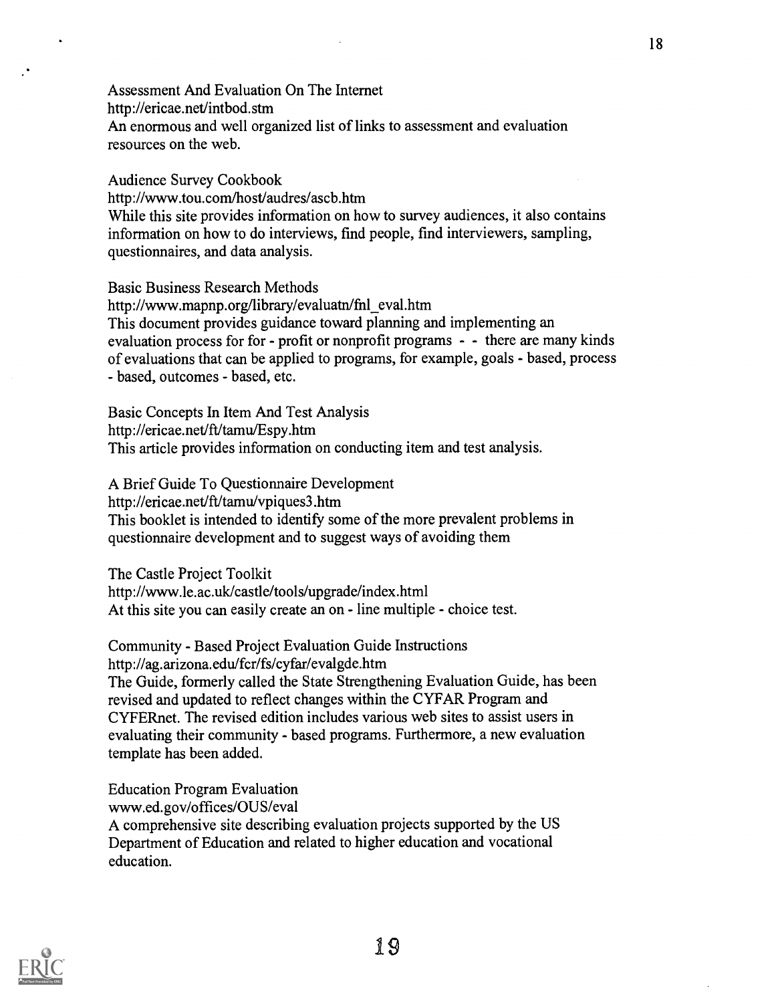Assessment And Evaluation On The Internet http://ericae.net/intbod.stm An enormous and well organized list of links to assessment and evaluation resources on the web.

Audience Survey Cookbook http://www.tou.com/host/audres/ascb.htm While this site provides information on how to survey audiences, it also contains information on how to do interviews, find people, find interviewers, sampling, questionnaires, and data analysis.

Basic Business Research Methods http://www.mapnp.org/library/evaluatn/fnl\_eval.htm This document provides guidance toward planning and implementing an evaluation process for for - profit or nonprofit programs - - there are many kinds of evaluations that can be applied to programs, for example, goals - based, process - based, outcomes - based, etc.

Basic Concepts In Item And Test Analysis http://ericae.net/ft/tamu/Espy.htm This article provides information on conducting item and test analysis.

A Brief Guide To Questionnaire Development http://ericae.net/ft/tamulvpiques3.htm This booklet is intended to identify some of the more prevalent problems in questionnaire development and to suggest ways of avoiding them

The Castle Project Toolkit http://www.le.ac.uk/castle/tools/upgrade/index.html At this site you can easily create an on - line multiple - choice test.

Community - Based Project Evaluation Guide Instructions http://ag.arizona.edu/fcr/fs/cyfar/evalgde.htm The Guide, formerly called the State Strengthening Evaluation Guide, has been revised and updated to reflect changes within the CYFAR Program and CYFERnet. The revised edition includes various web sites to assist users in evaluating their community - based programs. Furthermore, a new evaluation template has been added.

Education Program Evaluation www.ed.gov/offices/OUS/eval A comprehensive site describing evaluation projects supported by the US Department of Education and related to higher education and vocational education.

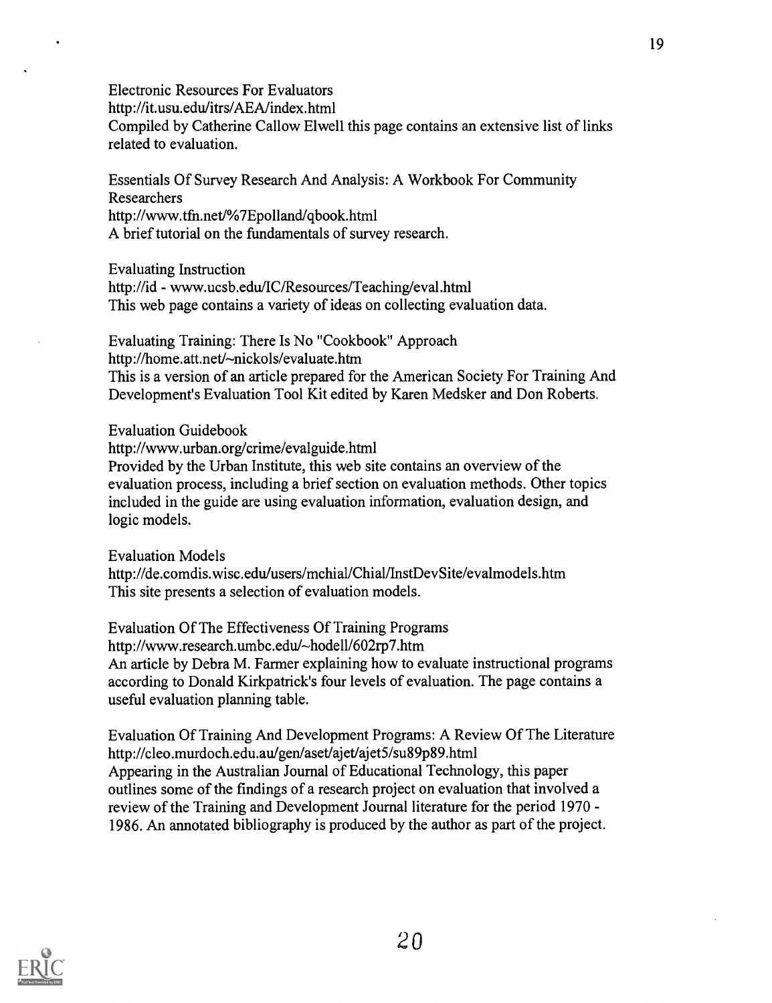Electronic Resources For Evaluators

http://it.usu.edu/itrs/AEA/index.html

Compiled by Catherine Callow Elwell this page contains an extensive list of links related to evaluation.

Essentials Of Survey Research And Analysis: A Workbook For Community Researchers http://www.tfn.net/%7Epolland/qbook.html A brief tutorial on the fundamentals of survey research.

Evaluating Instruction

http://id - www.ucsb.edu/IC/Resources/Teaching/eval.html This web page contains a variety of ideas on collecting evaluation data.

Evaluating Training: There Is No "Cookbook" Approach http://home.att.net/~nickols/evaluate.htm This is a version of an article prepared for the American Society For Training And Development's Evaluation Tool Kit edited by Karen Medsker and Don Roberts.

Evaluation Guidebook

http://www.urban.org/crime/evalguide.html

Provided by the Urban Institute, this web site contains an overview of the evaluation process, including a brief section on evaluation methods. Other topics included in the guide are using evaluation information, evaluation design, and logic models.

Evaluation Models http://de.comdis.wisc.edu/users/mchial/Chial/InstDevSite/evalmodels.htm This site presents a selection of evaluation models.

Evaluation Of The Effectiveness Of Training Programs http://www.research.umbc.edu/~hodell/602rp7.htm An article by Debra M. Farmer explaining how to evaluate instructional programs according to Donald Kirkpatrick's four levels of evaluation. The page contains a useful evaluation planning table.

Evaluation Of Training And Development Programs: A Review Of The Literature http://cleo.murdoch.edu.au/gen/aset/ajet/ajet5/su89p89.html Appearing in the Australian Journal of Educational Technology, this paper outlines some of the findings of a research project on evaluation that involved a review of the Training and Development Journal literature for the period 1970 - 1986. An annotated bibliography is produced by the author as part of the project.

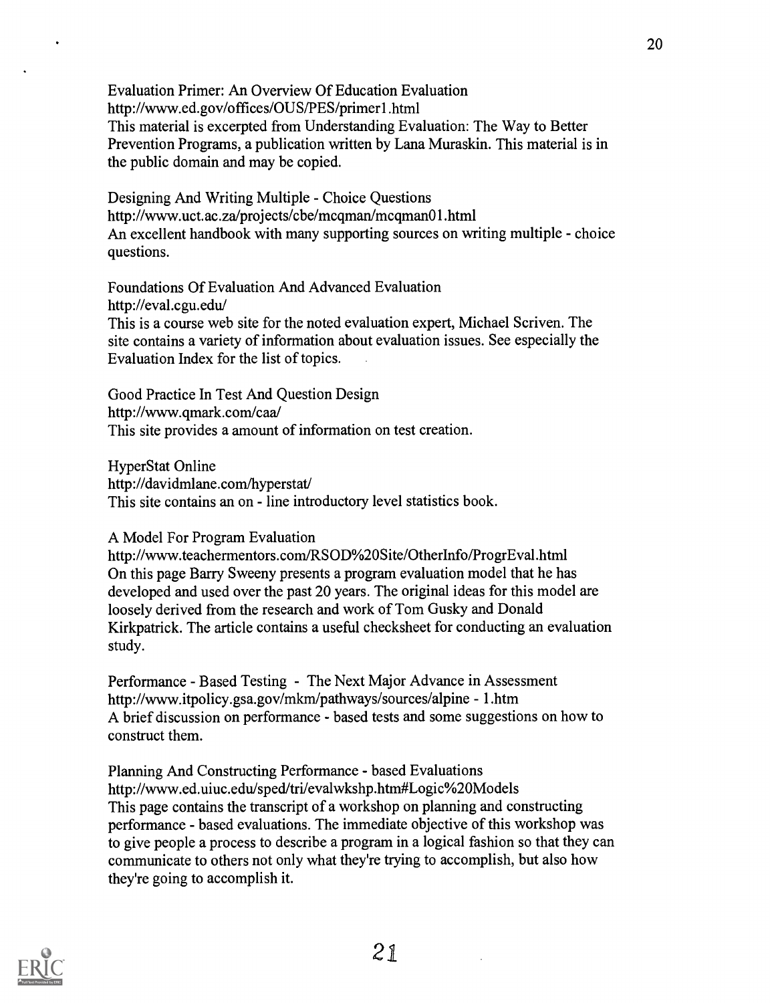Evaluation Primer: An Overview Of Education Evaluation http://www.ed.gov/offices/OUS/PES/primerl.html This material is excerpted from Understanding Evaluation: The Way to Better Prevention Programs, a publication written by Lana Muraskin. This material is in the public domain and may be copied.

Designing And Writing Multiple - Choice Questions http://www.uct.ac.za/projects/cbe/mcqman/mcqman01.html An excellent handbook with many supporting sources on writing multiple - choice questions.

Foundations Of Evaluation And Advanced Evaluation http://eval.cgu.edu/ This is a course web site for the noted evaluation expert, Michael Scriven. The

site contains a variety of information about evaluation issues. See especially the Evaluation Index for the list of topics.

Good Practice In Test And Question Design http://www.qmark.com/caa/ This site provides a amount of information on test creation.

HyperStat Online http://davidmlane.com/hyperstat/ This site contains an on - line introductory level statistics book.

## A Model For Program Evaluation

http://www.teachermentors.com/RSOD%20Site/OtherInfo/ProgrEval.html On this page Barry Sweeny presents a program evaluation model that he has developed and used over the past 20 years. The original ideas for this model are loosely derived from the research and work of Tom Gusky and Donald Kirkpatrick. The article contains a useful checksheet for conducting an evaluation study.

Performance - Based Testing - The Next Major Advance in Assessment http://www.itpolicy.gsa.gov/mkm/pathways/sources/alpine - 1.htm A brief discussion on performance - based tests and some suggestions on how to construct them.

Planning And Constructing Performance - based Evaluations http://www.ed.uiuc.edu/sped/tri/evalwkshp.htm#Logic%20Models This page contains the transcript of a workshop on planning and constructing performance - based evaluations. The immediate objective of this workshop was to give people a process to describe a program in a logical fashion so that they can communicate to others not only what they're trying to accomplish, but also how they're going to accomplish it.

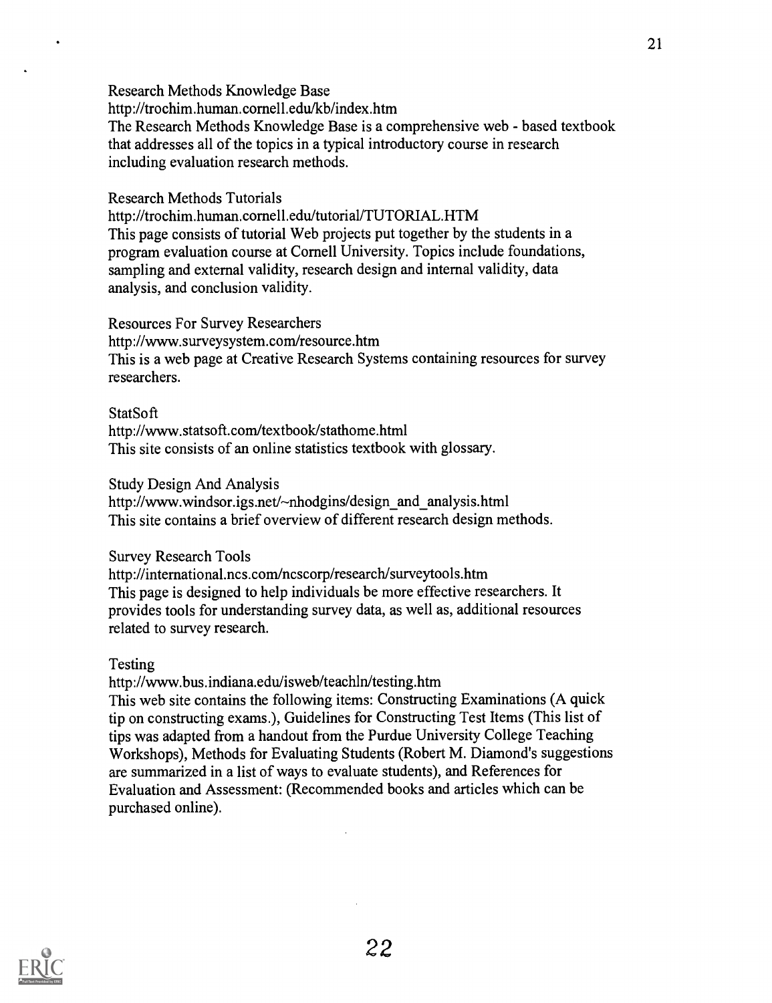Research Methods Knowledge Base

http://trochim.human.cornell.edu/kb/index.htm The Research Methods Knowledge Base is a comprehensive web - based textbook that addresses all of the topics in a typical introductory course in research including evaluation research methods.

### Research Methods Tutorials

http://trochim.human.cornell.edu/tutorial/TUTORIAL.HTM This page consists of tutorial Web projects put together by the students in a program evaluation course at Cornell University. Topics include foundations, sampling and external validity, research design and internal validity, data analysis, and conclusion validity.

### Resources For Survey Researchers

http://www.surveysystem.com/resource.htm This is a web page at Creative Research Systems containing resources for survey researchers.

## **StatSoft**

http://vvww.statsoft.com/textbook/stathome.html This site consists of an online statistics textbook with glossary.

### Study Design And Analysis

http://www.windsor.igs.net/~nhodgins/design\_and\_analysis.html This site contains a brief overview of different research design methods.

## Survey Research Tools

http://international.ncs.com/ncscorp/research/surveytools.htm This page is designed to help individuals be more effective researchers. It provides tools for understanding survey data, as well as, additional resources related to survey research.

## Testing

http://www.bus.indiana.edu/isweb/teachln/testing.htm

This web site contains the following items: Constructing Examinations (A quick tip on constructing exams.), Guidelines for Constructing Test Items (This list of tips was adapted from a handout from the Purdue University College Teaching Workshops), Methods for Evaluating Students (Robert M. Diamond's suggestions are summarized in a list of ways to evaluate students), and References for Evaluation and Assessment: (Recommended books and articles which can be purchased online).

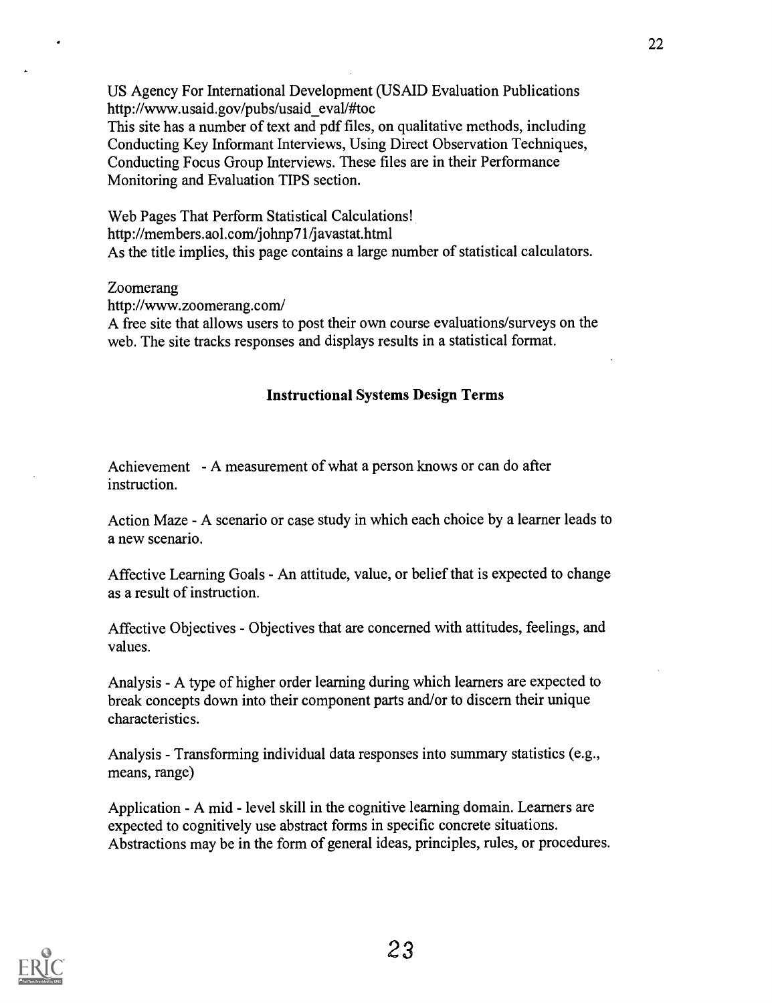US Agency For International Development (USAID Evaluation Publications http://www.usaid.gov/pubs/usaid\_eval/#toc

This site has a number of text and pdf files, on qualitative methods, including Conducting Key Informant Interviews, Using Direct Observation Techniques, Conducting Focus Group Interviews. These files are in their Performance Monitoring and Evaluation TIPS section.

Web Pages That Perform Statistical Calculations! http://members.aol.com/johnp71/javastat.html As the title implies, this page contains a large number of statistical calculators.

#### Zoomerang

http://www.zoomerang.com/

A free site that allows users to post their own course evaluations/surveys on the web. The site tracks responses and displays results in a statistical format.

### Instructional Systems Design Terms

Achievement - A measurement of what a person knows or can do after instruction.

Action Maze - A scenario or case study in which each choice by a learner leads to a new scenario.

Affective Learning Goals - An attitude, value, or belief that is expected to change as a result of instruction.

Affective Objectives - Objectives that are concerned with attitudes, feelings, and values.

Analysis - A type of higher order learning during which learners are expected to break concepts down into their component parts and/or to discern their unique characteristics.

Analysis - Transforming individual data responses into summary statistics (e.g., means, range)

Application - A mid - level skill in the cognitive learning domain. Learners are expected to cognitively use abstract forms in specific concrete situations. Abstractions may be in the form of general ideas, principles, rules, or procedures.

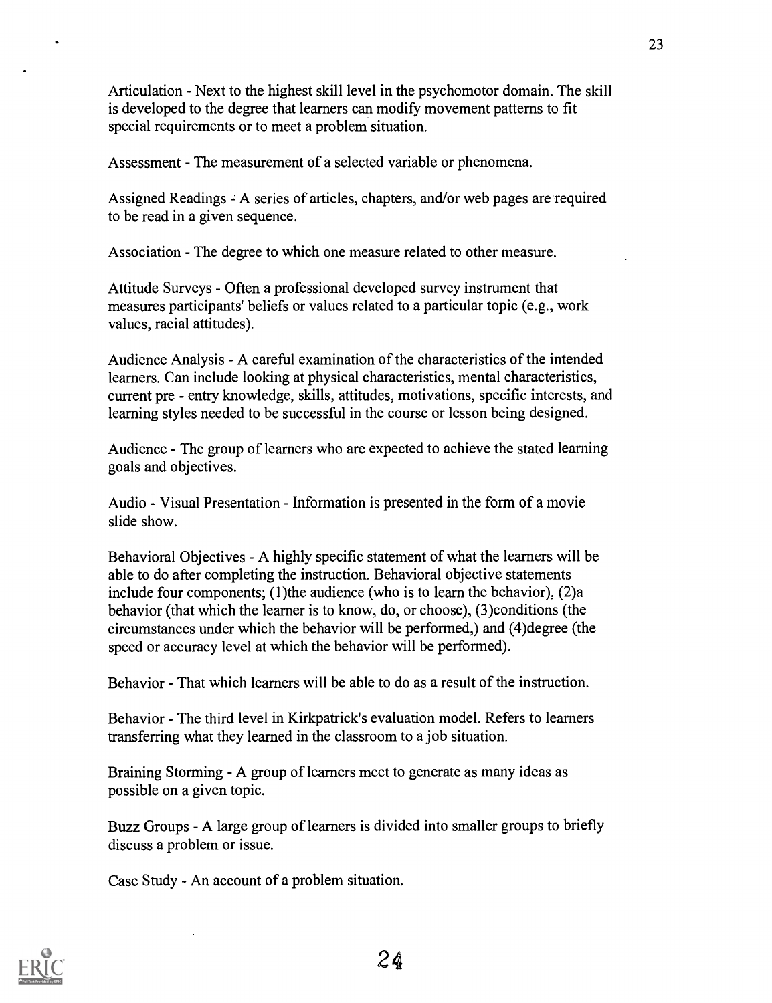Articulation - Next to the highest skill level in the psychomotor domain. The skill is developed to the degree that learners can modify movement patterns to fit special requirements or to meet a problem situation.

Assessment - The measurement of a selected variable or phenomena.

Assigned Readings - A series of articles, chapters, and/or web pages are required to be read in a given sequence.

Association - The degree to which one measure related to other measure.

Attitude Surveys - Often a professional developed survey instrument that measures participants' beliefs or values related to a particular topic (e.g., work values, racial attitudes).

Audience Analysis - A careful examination of the characteristics of the intended learners. Can include looking at physical characteristics, mental characteristics, current pre - entry knowledge, skills, attitudes, motivations, specific interests, and learning styles needed to be successful in the course or lesson being designed.

Audience - The group of learners who are expected to achieve the stated learning goals and objectives.

Audio - Visual Presentation - Information is presented in the form of a movie slide show.

Behavioral Objectives - A highly specific statement of what the learners will be able to do after completing the instruction. Behavioral objective statements include four components; (1)the audience (who is to learn the behavior), (2)a behavior (that which the learner is to know, do, or choose), (3)conditions (the circumstances under which the behavior will be performed,) and (4)degree (the speed or accuracy level at which the behavior will be performed).

Behavior - That which learners will be able to do as a result of the instruction.

Behavior - The third level in Kirkpatrick's evaluation model. Refers to learners transferring what they learned in the classroom to a job situation.

Braining Storming - A group of learners meet to generate as many ideas as possible on a given topic.

Buzz Groups - A large group of learners is divided into smaller groups to briefly discuss a problem or issue.

Case Study - An account of a problem situation.

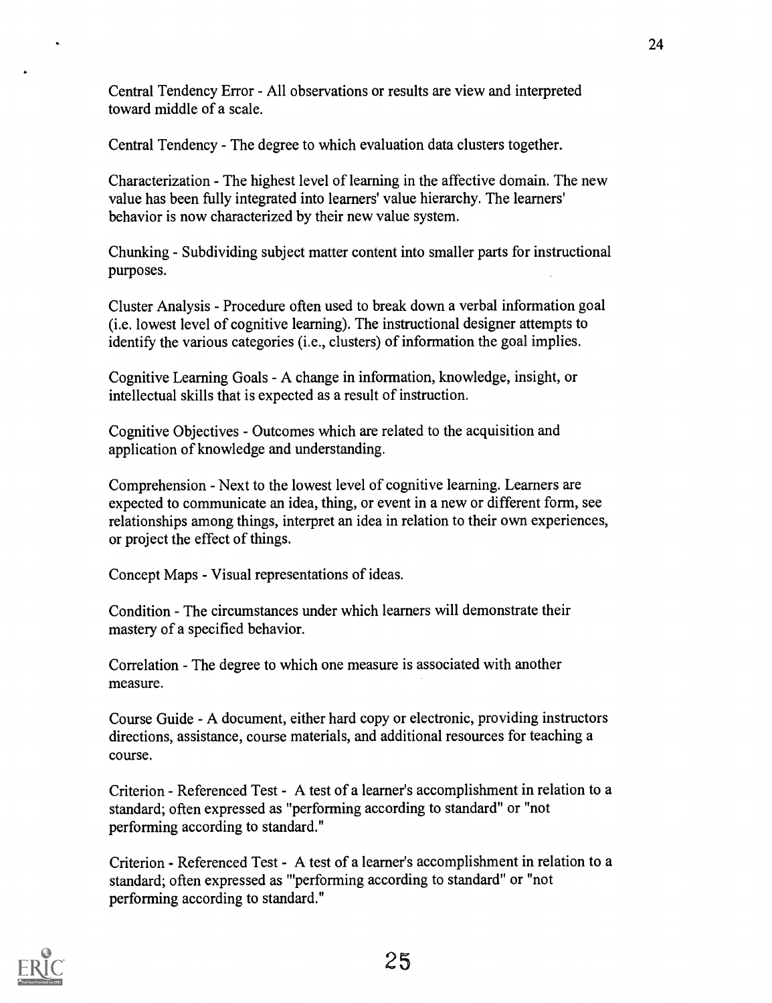Central Tendency Error - All observations or results are view and interpreted toward middle of a scale.

Central Tendency - The degree to which evaluation data clusters together.

Characterization - The highest level of learning in the affective domain. The new value has been fully integrated into learners' value hierarchy. The learners' behavior is now characterized by their new value system.

Chunking - Subdividing subject matter content into smaller parts for instructional purposes.

Cluster Analysis - Procedure often used to break down a verbal information goal (i.e. lowest level of cognitive learning). The instructional designer attempts to identify the various categories (i.e., clusters) of information the goal implies.

Cognitive Learning Goals - A change in information, knowledge, insight, or intellectual skills that is expected as a result of instruction.

Cognitive Objectives - Outcomes which are related to the acquisition and application of knowledge and understanding.

Comprehension - Next to the lowest level of cognitive learning. Learners are expected to communicate an idea, thing, or event in a new or different form, see relationships among things, interpret an idea in relation to their own experiences, or project the effect of things.

Concept Maps - Visual representations of ideas.

Condition - The circumstances under which learners will demonstrate their mastery of a specified behavior.

Correlation - The degree to which one measure is associated with another measure.

Course Guide - A document, either hard copy or electronic, providing instructors directions, assistance, course materials, and additional resources for teaching a course.

Criterion - Referenced Test - A test of a learner's accomplishment in relation to a standard; often expressed as "performing according to standard" or "not performing according to standard."

Criterion - Referenced Test - A test of a learner's accomplishment in relation to a standard; often expressed as "performing according to standard" or "not performing according to standard."

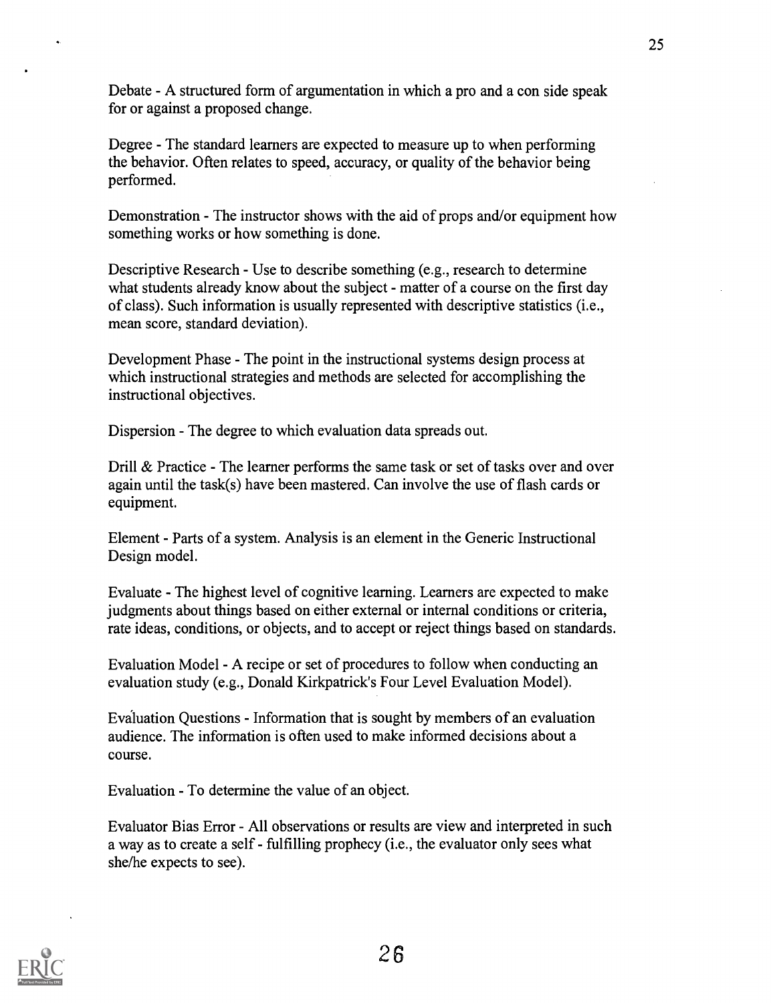Debate - A structured form of argumentation in which a pro and a con side speak for or against a proposed change.

Degree - The standard learners are expected to measure up to when performing the behavior. Often relates to speed, accuracy, or quality of the behavior being performed.

Demonstration - The instructor shows with the aid of props and/or equipment how something works or how something is done.

Descriptive Research - Use to describe something (e.g., research to determine what students already know about the subject - matter of a course on the first day of class). Such information is usually represented with descriptive statistics (i.e., mean score, standard deviation).

Development Phase - The point in the instructional systems design process at which instructional strategies and methods are selected for accomplishing the instructional objectives.

Dispersion - The degree to which evaluation data spreads out.

Drill & Practice - The learner performs the same task or set of tasks over and over again until the task(s) have been mastered. Can involve the use of flash cards or equipment.

Element - Parts of a system. Analysis is an element in the Generic Instructional Design model.

Evaluate - The highest level of cognitive learning. Learners are expected to make judgments about things based on either external or internal conditions or criteria, rate ideas, conditions, or objects, and to accept or reject things based on standards.

Evaluation Model - A recipe or set of procedures to follow when conducting an evaluation study (e.g., Donald Kirkpatrick's Four Level Evaluation Model).

Evaluation Questions - Information that is sought by members of an evaluation audience. The information is often used to make informed decisions about a course.

Evaluation - To determine the value of an object.

Evaluator Bias Error - All observations or results are view and interpreted in such a way as to create a self - fulfilling prophecy (i.e., the evaluator only sees what she/he expects to see).

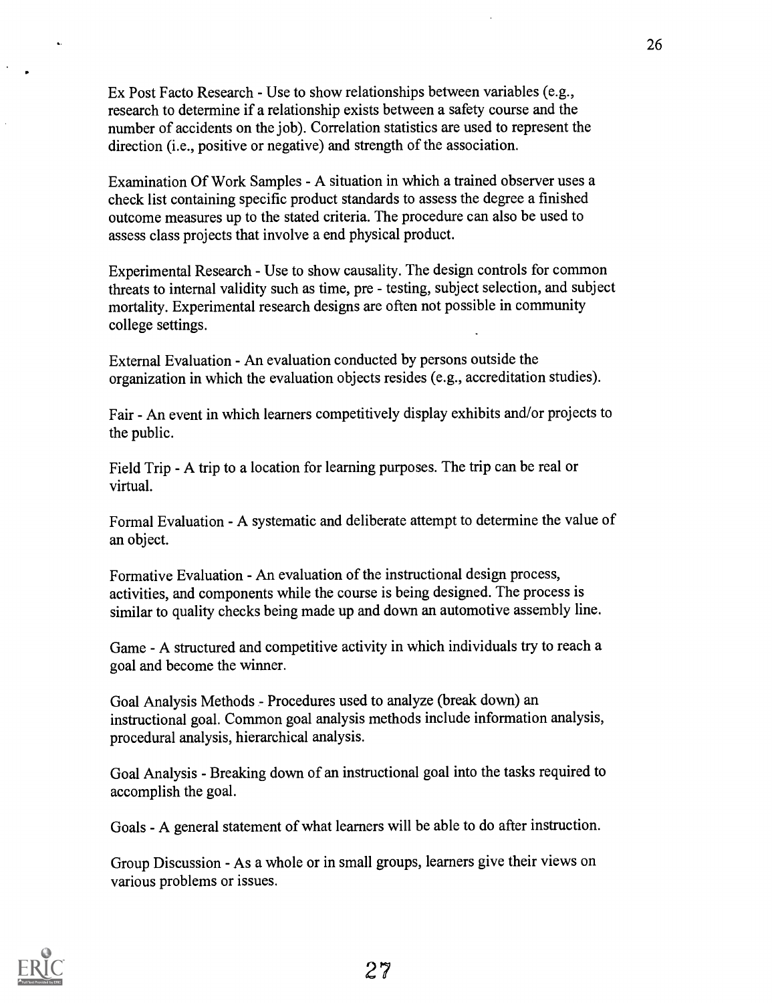Ex Post Facto Research - Use to show relationships between variables (e.g., research to determine if a relationship exists between a safety course and the number of accidents on the job). Correlation statistics are used to represent the direction (i.e., positive or negative) and strength of the association.

Examination Of Work Samples - A situation in which a trained observer uses a check list containing specific product standards to assess the degree a finished outcome measures up to the stated criteria. The procedure can also be used to assess class projects that involve a end physical product.

Experimental Research - Use to show causality. The design controls for common threats to internal validity such as time, pre - testing, subject selection, and subject mortality. Experimental research designs are often not possible in community college settings.

External Evaluation - An evaluation conducted by persons outside the organization in which the evaluation objects resides (e.g., accreditation studies).

Fair - An event in which learners competitively display exhibits and/or projects to the public.

Field Trip - A trip to a location for learning purposes. The trip can be real or virtual.

Formal Evaluation - A systematic and deliberate attempt to determine the value of an object.

Formative Evaluation - An evaluation of the instructional design process, activities, and components while the course is being designed. The process is similar to quality checks being made up and down an automotive assembly line.

Game - A structured and competitive activity in which individuals try to reach a goal and become the winner.

Goal Analysis Methods - Procedures used to analyze (break down) an instructional goal. Common goal analysis methods include information analysis, procedural analysis, hierarchical analysis.

Goal Analysis - Breaking down of an instructional goal into the tasks required to accomplish the goal.

Goals - A general statement of what learners will be able to do after instruction.

Group Discussion - As a whole or in small groups, learners give their views on various problems or issues.

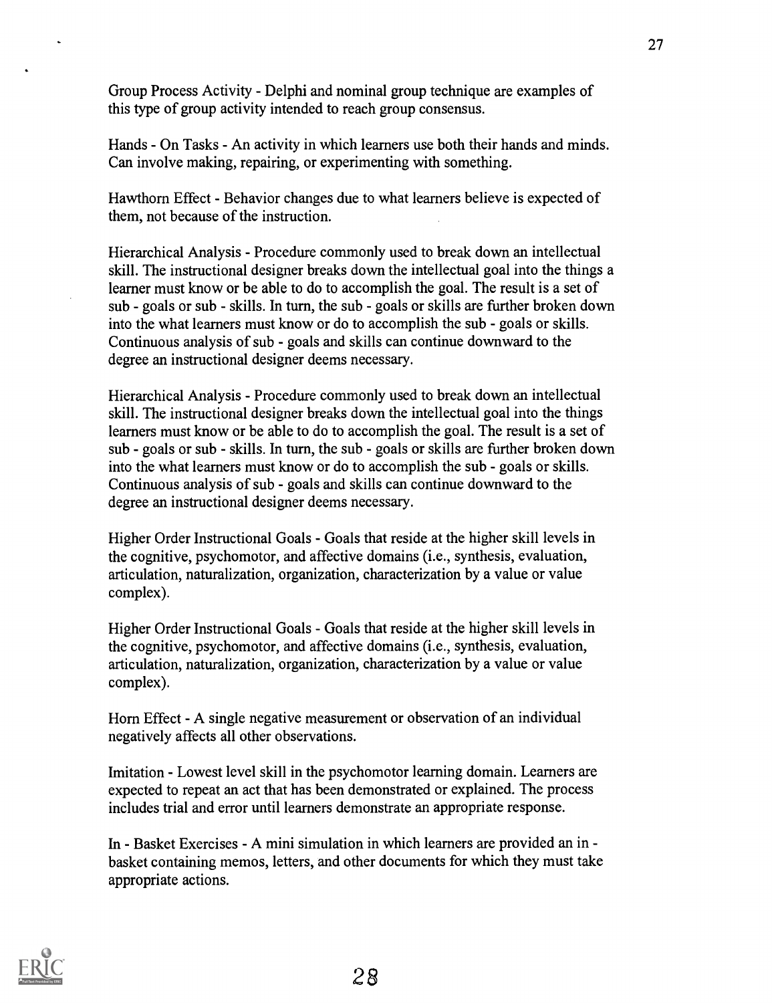Group Process Activity - Delphi and nominal group technique are examples of this type of group activity intended to reach group consensus.

Hands - On Tasks - An activity in which learners use both their hands and minds. Can involve making, repairing, or experimenting with something.

Hawthorn Effect - Behavior changes due to what learners believe is expected of them, not because of the instruction.

Hierarchical Analysis - Procedure commonly used to break down an intellectual skill. The instructional designer breaks down the intellectual goal into the things a learner must know or be able to do to accomplish the goal. The result is a set of sub - goals or sub - skills. In turn, the sub - goals or skills are further broken down into the what learners must know or do to accomplish the sub - goals or skills. Continuous analysis of sub - goals and skills can continue downward to the degree an instructional designer deems necessary.

Hierarchical Analysis - Procedure commonly used to break down an intellectual skill. The instructional designer breaks down the intellectual goal into the things learners must know or be able to do to accomplish the goal. The result is a set of sub - goals or sub - skills. In turn, the sub - goals or skills are further broken down into the what learners must know or do to accomplish the sub - goals or skills. Continuous analysis of sub - goals and skills can continue downward to the degree an instructional designer deems necessary.

Higher Order Instructional Goals - Goals that reside at the higher skill levels in the cognitive, psychomotor, and affective domains (i.e., synthesis, evaluation, articulation, naturalization, organization, characterization by a value or value complex).

Higher Order Instructional Goals - Goals that reside at the higher skill levels in the cognitive, psychomotor, and affective domains (i.e., synthesis, evaluation, articulation, naturalization, organization, characterization by a value or value complex).

Horn Effect - A single negative measurement or observation of an individual negatively affects all other observations.

Imitation - Lowest level skill in the psychomotor learning domain. Learners are expected to repeat an act that has been demonstrated or explained. The process includes trial and error until learners demonstrate an appropriate response.

In - Basket Exercises - A mini simulation in which learners are provided an in basket containing memos, letters, and other documents for which they must take appropriate actions.

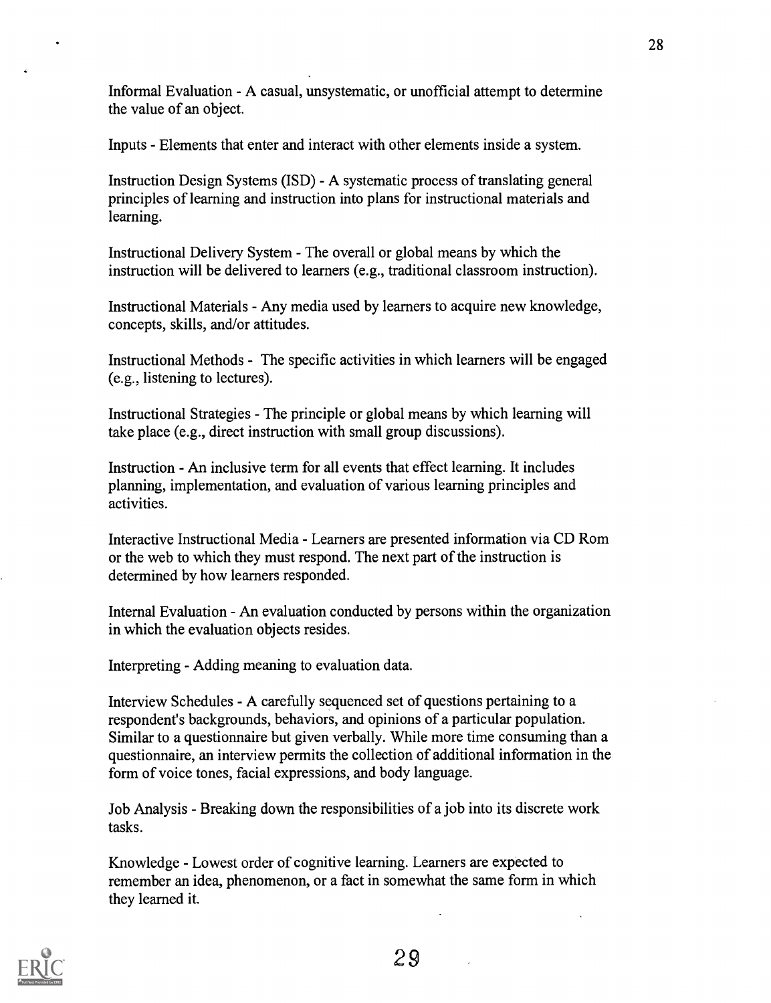Informal Evaluation - A casual, unsystematic, or unofficial attempt to determine the value of an object.

Inputs - Elements that enter and interact with other elements inside a system.

Instruction Design Systems (ISD) - A systematic process of translating general principles of learning and instruction into plans for instructional materials and learning.

Instructional Delivery System - The overall or global means by which the instruction will be delivered to learners (e.g., traditional classroom instruction).

Instructional Materials - Any media used by learners to acquire new knowledge, concepts, skills, and/or attitudes.

Instructional Methods - The specific activities in which learners will be engaged (e.g., listening to lectures).

Instructional Strategies - The principle or global means by which learning will take place (e.g., direct instruction with small group discussions).

Instruction - An inclusive term for all events that effect learning. It includes planning, implementation, and evaluation of various learning principles and activities.

Interactive Instructional Media - Learners are presented information via CD Rom or the web to which they must respond. The next part of the instruction is determined by how learners responded.

Internal Evaluation - An evaluation conducted by persons within the organization in which the evaluation objects resides.

Interpreting - Adding meaning to evaluation data.

Interview Schedules - A carefully sequenced set of questions pertaining to a respondent's backgrounds, behaviors, and opinions of a particular population. Similar to a questionnaire but given verbally. While more time consuming than a questionnaire, an interview permits the collection of additional information in the form of voice tones, facial expressions, and body language.

Job Analysis - Breaking down the responsibilities of a job into its discrete work tasks.

Knowledge - Lowest order of cognitive learning. Learners are expected to remember an idea, phenomenon, or a fact in somewhat the same form in which they learned it.

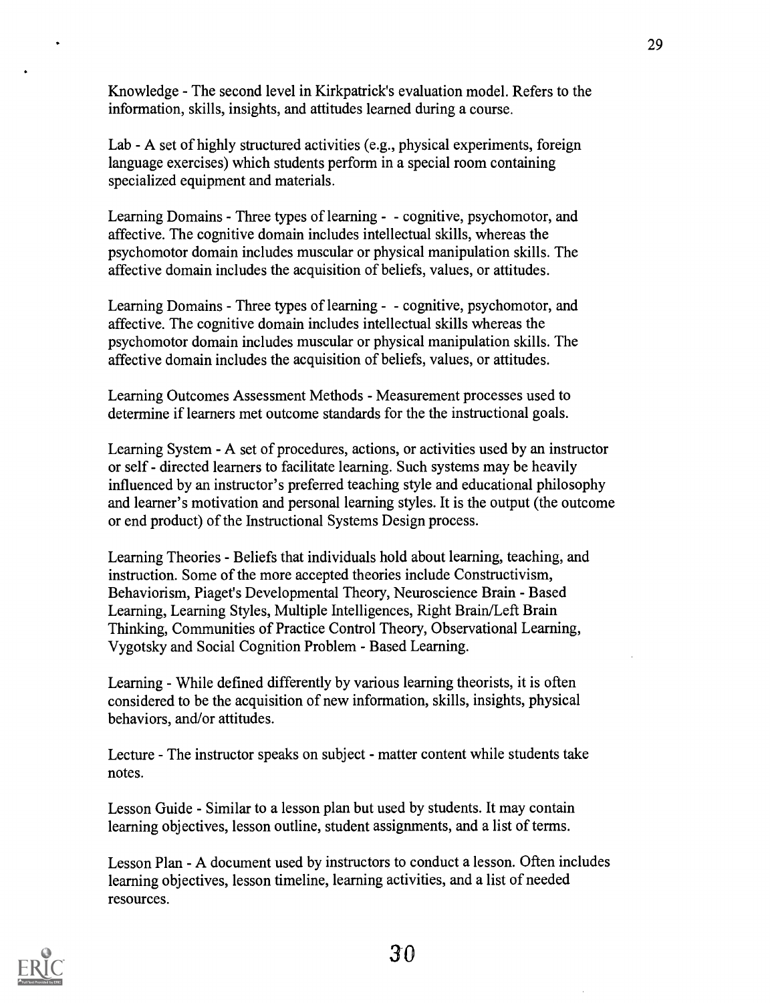Knowledge - The second level in Kirkpatrick's evaluation model. Refers to the information, skills, insights, and attitudes learned during a course.

Lab - A set of highly structured activities (e.g., physical experiments, foreign language exercises) which students perform in a special room containing specialized equipment and materials.

Learning Domains - Three types of learning - - cognitive, psychomotor, and affective. The cognitive domain includes intellectual skills, whereas the psychomotor domain includes muscular or physical manipulation skills. The affective domain includes the acquisition of beliefs, values, or attitudes.

Learning Domains - Three types of learning - - cognitive, psychomotor, and affective. The cognitive domain includes intellectual skills whereas the psychomotor domain includes muscular or physical manipulation skills. The affective domain includes the acquisition of beliefs, values, or attitudes.

Learning Outcomes Assessment Methods - Measurement processes used to determine if learners met outcome standards for the the instructional goals.

Learning System - A set of procedures, actions, or activities used by an instructor or self - directed learners to facilitate learning. Such systems may be heavily influenced by an instructor's preferred teaching style and educational philosophy and learner's motivation and personal learning styles. It is the output (the outcome or end product) of the Instructional Systems Design process.

Learning Theories - Beliefs that individuals hold about learning, teaching, and instruction. Some of the more accepted theories include Constructivism, Behaviorism, Piaget's Developmental Theory, Neuroscience Brain - Based Learning, Learning Styles, Multiple Intelligences, Right Brain/Left Brain Thinking, Communities of Practice Control Theory, Observational Learning, Vygotsky and Social Cognition Problem - Based Learning.

Learning - While defined differently by various learning theorists, it is often considered to be the acquisition of new information, skills, insights, physical behaviors, and/or attitudes.

Lecture - The instructor speaks on subject - matter content while students take notes.

Lesson Guide - Similar to a lesson plan but used by students. It may contain learning objectives, lesson outline, student assignments, and a list of terms.

Lesson Plan - A document used by instructors to conduct a lesson. Often includes learning objectives, lesson timeline, learning activities, and a list of needed resources.



30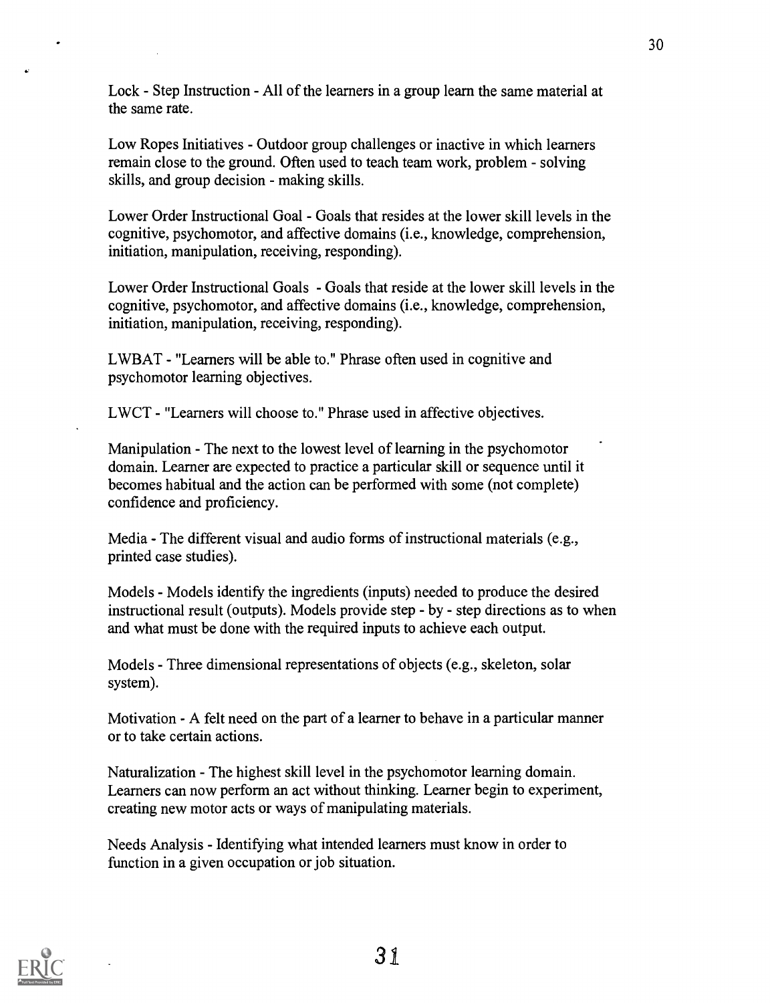Lock - Step Instruction - All of the learners in a group learn the same material at the same rate.

Low Ropes Initiatives - Outdoor group challenges or inactive in which learners remain close to the ground. Often used to teach team work, problem - solving skills, and group decision - making skills.

Lower Order Instructional Goal - Goals that resides at the lower skill levels in the cognitive, psychomotor, and affective domains (i.e., knowledge, comprehension, initiation, manipulation, receiving, responding).

Lower Order Instructional Goals - Goals that reside at the lower skill levels in the cognitive, psychomotor, and affective domains (i.e., knowledge, comprehension, initiation, manipulation, receiving, responding).

LWBAT - "Learners will be able to." Phrase often used in cognitive and psychomotor learning objectives.

LWCT - "Learners will choose to." Phrase used in affective objectives.

Manipulation - The next to the lowest level of learning in the psychomotor domain. Learner are expected to practice a particular skill or sequence until it becomes habitual and the action can be performed with some (not complete) confidence and proficiency.

Media - The different visual and audio forms of instructional materials (e.g., printed case studies).

Models - Models identify the ingredients (inputs) needed to produce the desired instructional result (outputs). Models provide step - by - step directions as to when and what must be done with the required inputs to achieve each output.

Models - Three dimensional representations of objects (e.g., skeleton, solar system).

Motivation - A felt need on the part of a learner to behave in a particular manner or to take certain actions.

Naturalization - The highest skill level in the psychomotor learning domain. Learners can now perform an act without thinking. Learner begin to experiment, creating new motor acts or ways of manipulating materials.

Needs Analysis - Identifying what intended learners must know in order to function in a given occupation or job situation.

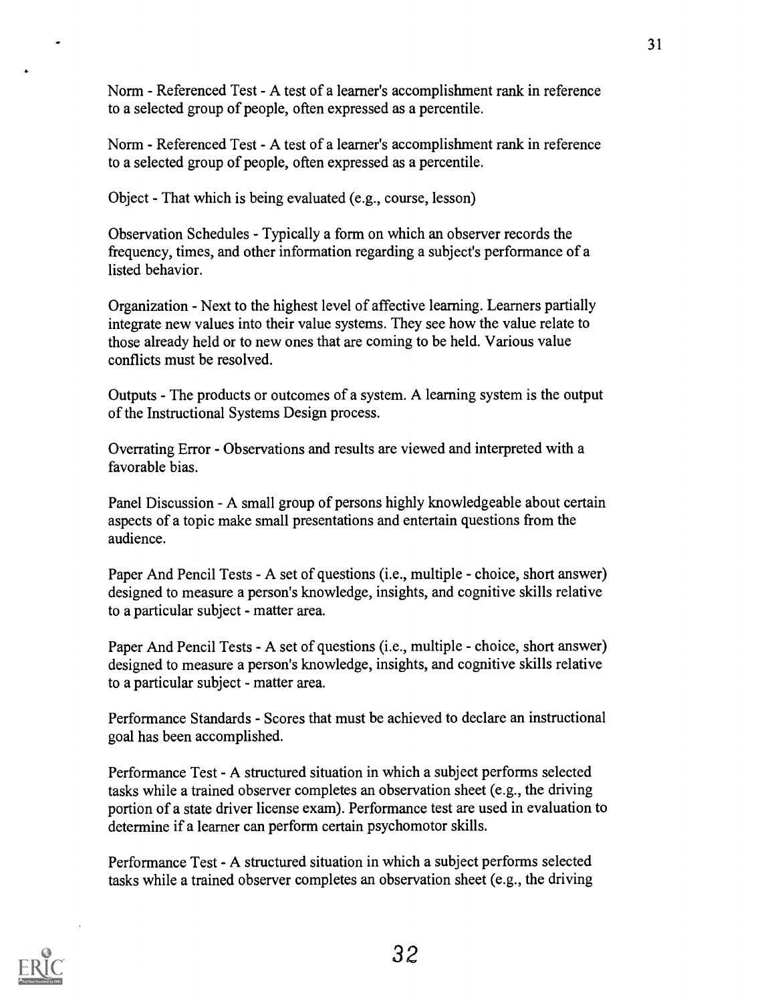Norm - Referenced Test - A test of a learner's accomplishment rank in reference to a selected group of people, often expressed as a percentile.

Norm - Referenced Test - A test of a learner's accomplishment rank in reference to a selected group of people, often expressed as a percentile.

Object - That which is being evaluated (e.g., course, lesson)

Observation Schedules - Typically a form on which an observer records the frequency, times, and other information regarding a subject's performance of a listed behavior.

Organization - Next to the highest level of affective learning. Learners partially integrate new values into their value systems. They see how the value relate to those already held or to new ones that are coming to be held. Various value conflicts must be resolved.

Outputs - The products or outcomes of a system. A learning system is the output of the Instructional Systems Design process.

Overrating Error - Observations and results are viewed and interpreted with a favorable bias.

Panel Discussion - A small group of persons highly knowledgeable about certain aspects of a topic make small presentations and entertain questions from the audience.

Paper And Pencil Tests - A set of questions (i.e., multiple - choice, short answer) designed to measure a person's knowledge, insights, and cognitive skills relative to a particular subject - matter area.

Paper And Pencil Tests - A set of questions (i.e., multiple - choice, short answer) designed to measure a person's knowledge, insights, and cognitive skills relative to a particular subject - matter area.

Performance Standards - Scores that must be achieved to declare an instructional goal has been accomplished.

Performance Test - A structured situation in which a subject performs selected tasks while a trained observer completes an observation sheet (e.g., the driving portion of a state driver license exam). Performance test are used in evaluation to determine if a learner can perform certain psychomotor skills.

Performance Test - A structured situation in which a subject performs selected tasks while a trained observer completes an observation sheet (e.g., the driving



 $\overline{\phantom{a}}$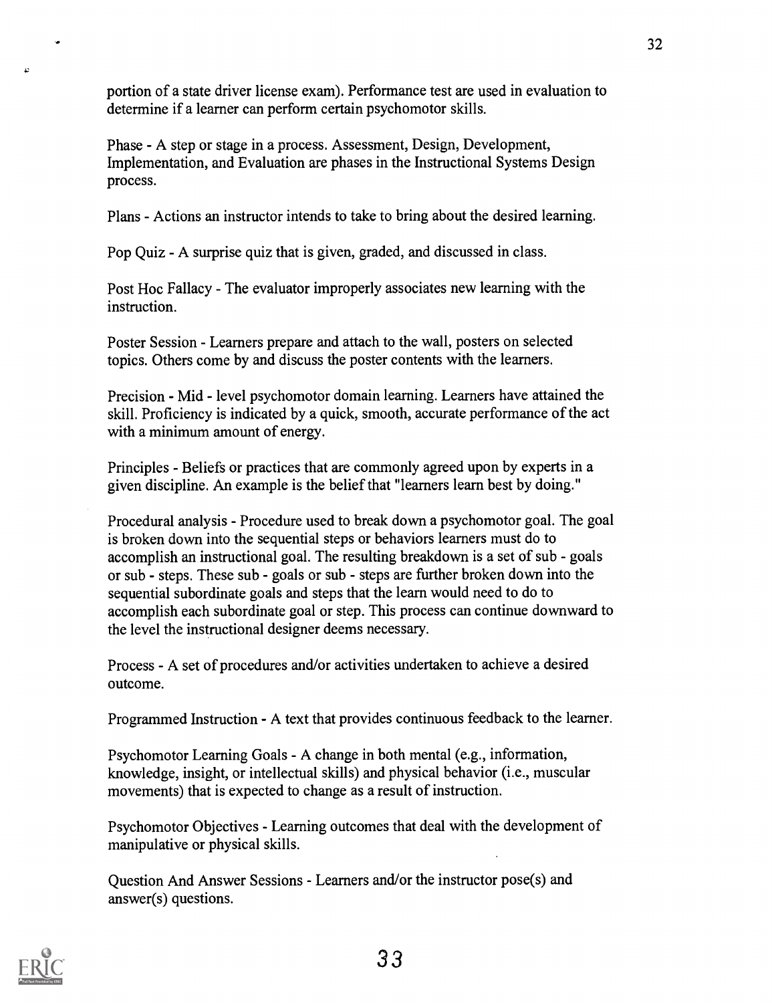portion of a state driver license exam). Performance test are used in evaluation to determine if a learner can perform certain psychomotor skills.

Phase - A step or stage in a process. Assessment, Design, Development, Implementation, and Evaluation are phases in the Instructional Systems Design process.

Plans - Actions an instructor intends to take to bring about the desired learning.

Pop Quiz - A surprise quiz that is given, graded, and discussed in class.

Post Hoc Fallacy - The evaluator improperly associates new learning with the instruction.

Poster Session - Learners prepare and attach to the wall, posters on selected topics. Others come by and discuss the poster contents with the learners.

Precision - Mid - level psychomotor domain learning. Learners have attained the skill. Proficiency is indicated by a quick, smooth, accurate performance of the act with a minimum amount of energy.

Principles - Beliefs or practices that are commonly agreed upon by experts in a given discipline. An example is the belief that "learners learn best by doing."

Procedural analysis - Procedure used to break down a psychomotor goal. The goal is broken down into the sequential steps or behaviors learners must do to accomplish an instructional goal. The resulting breakdown is a set of sub - goals or sub - steps. These sub - goals or sub - steps are further broken down into the sequential subordinate goals and steps that the learn would need to do to accomplish each subordinate goal or step. This process can continue downward to the level the instructional designer deems necessary.

Process - A set of procedures and/or activities undertaken to achieve a desired outcome.

Programmed Instruction - A text that provides continuous feedback to the learner.

Psychomotor Learning Goals - A change in both mental (e.g., information, knowledge, insight, or intellectual skills) and physical behavior (i.e., muscular movements) that is expected to change as a result of instruction.

Psychomotor Objectives - Learning outcomes that deal with the development of manipulative or physical skills.

Question And Answer Sessions - Learners and/or the instructor pose(s) and answer(s) questions.



 $\cdot$ 

c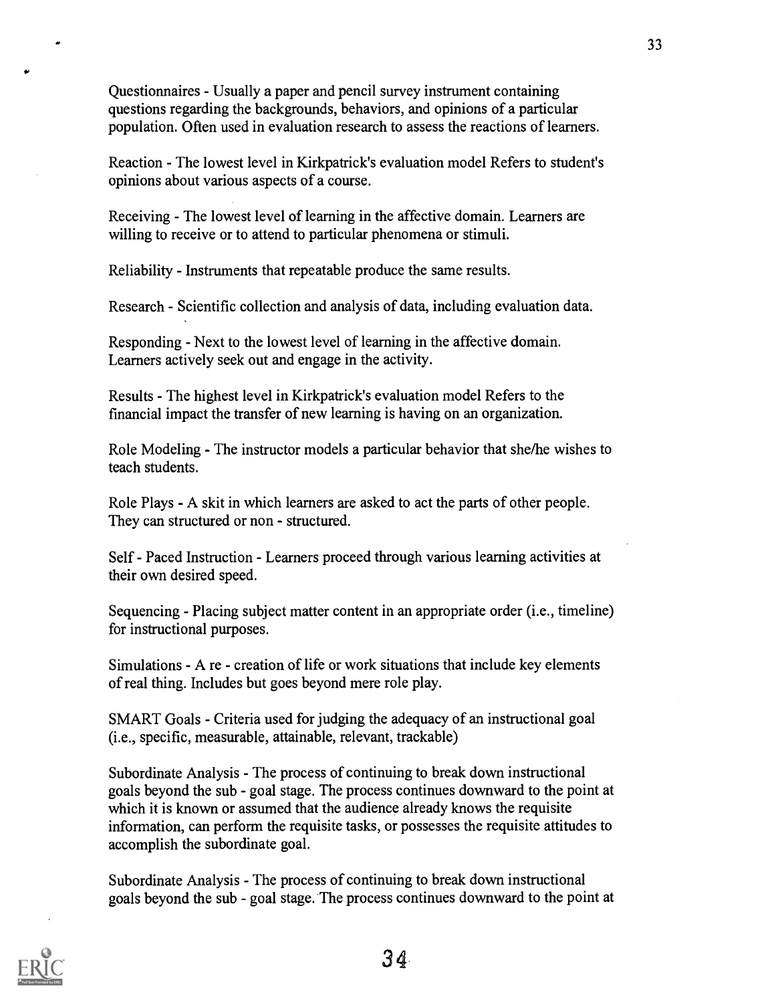Questionnaires - Usually a paper and pencil survey instrument containing questions regarding the backgrounds, behaviors, and opinions of a particular population. Often used in evaluation research to assess the reactions of learners.

Reaction - The lowest level in Kirkpatrick's evaluation model Refers to student's opinions about various aspects of a course.

Receiving - The lowest level of learning in the affective domain. Learners are willing to receive or to attend to particular phenomena or stimuli.

Reliability - Instruments that repeatable produce the same results.

Research - Scientific collection and analysis of data, including evaluation data.

Responding - Next to the lowest level of learning in the affective domain. Learners actively seek out and engage in the activity.

Results - The highest level in Kirkpatrick's evaluation model Refers to the financial impact the transfer of new learning is having on an organization.

Role Modeling - The instructor models a particular behavior that she/he wishes to teach students.

Role Plays - A skit in which learners are asked to act the parts of other people. They can structured or non - structured.

Self - Paced Instruction - Learners proceed through various learning activities at their own desired speed.

Sequencing - Placing subject matter content in an appropriate order (i.e., timeline) for instructional purposes.

Simulations - A re - creation of life or work situations that include key elements of real thing. Includes but goes beyond mere role play.

SMART Goals - Criteria used for judging the adequacy of an instructional goal (i.e., specific, measurable, attainable, relevant, trackable)

Subordinate Analysis - The process of continuing to break down instructional goals beyond the sub - goal stage. The process continues downward to the point at which it is known or assumed that the audience already knows the requisite information, can perform the requisite tasks, or possesses the requisite attitudes to accomplish the subordinate goal.

Subordinate Analysis - The process of continuing to break down instructional goals beyond the sub - goal stage. The process continues downward to the point at

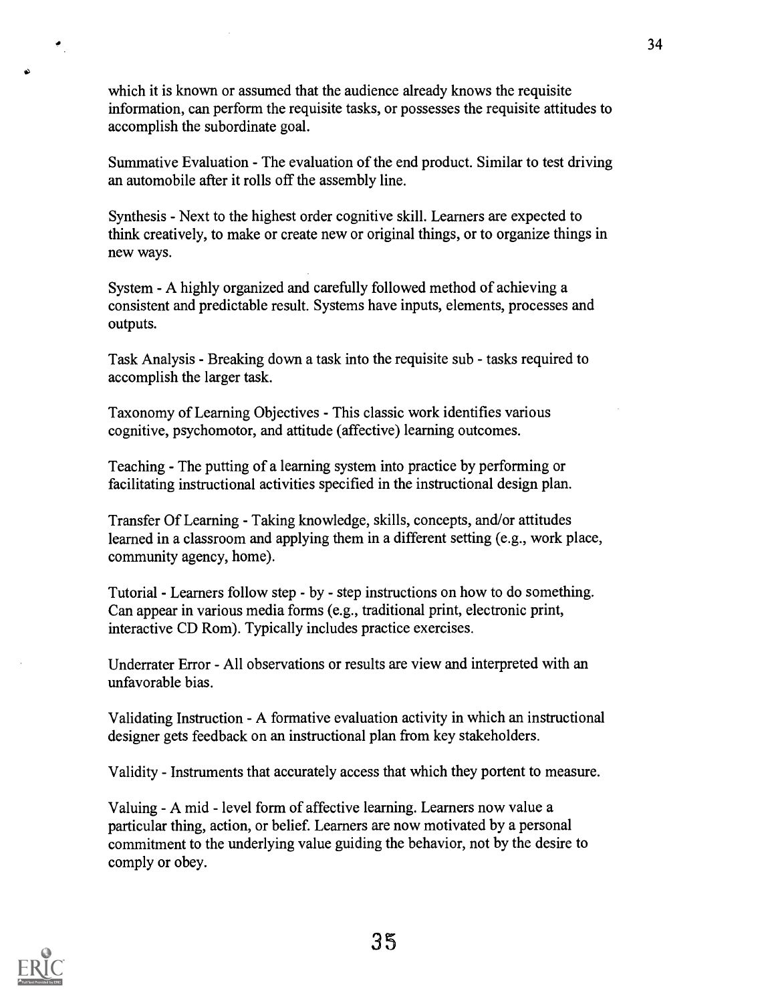which it is known or assumed that the audience already knows the requisite information, can perform the requisite tasks, or possesses the requisite attitudes to accomplish the subordinate goal.

Summative Evaluation - The evaluation of the end product. Similar to test driving an automobile after it rolls off the assembly line.

Synthesis - Next to the highest order cognitive skill. Learners are expected to think creatively, to make or create new or original things, or to organize things in new ways.

System - A highly organized and carefully followed method of achieving a consistent and predictable result. Systems have inputs, elements, processes and outputs.

Task Analysis - Breaking down a task into the requisite sub - tasks required to accomplish the larger task.

Taxonomy of Learning Objectives - This classic work identifies various cognitive, psychomotor, and attitude (affective) learning outcomes.

Teaching - The putting of a learning system into practice by performing or facilitating instructional activities specified in the instructional design plan.

Transfer Of Learning - Taking knowledge, skills, concepts, and/or attitudes learned in a classroom and applying them in a different setting (e.g., work place, community agency, home).

Tutorial - Learners follow step - by - step instructions on how to do something. Can appear in various media forms (e.g., traditional print, electronic print, interactive CD Rom). Typically includes practice exercises.

Underrater Error - All observations or results are view and interpreted with an unfavorable bias.

Validating Instruction - A formative evaluation activity in which an instructional designer gets feedback on an instructional plan from key stakeholders.

Validity - Instruments that accurately access that which they portent to measure.

Valuing - A mid - level form of affective learning. Learners now value a particular thing, action, or belief. Learners are now motivated by a personal commitment to the underlying value guiding the behavior, not by the desire to comply or obey.



 $\hat{\mathcal{F}}_{\mu\nu}$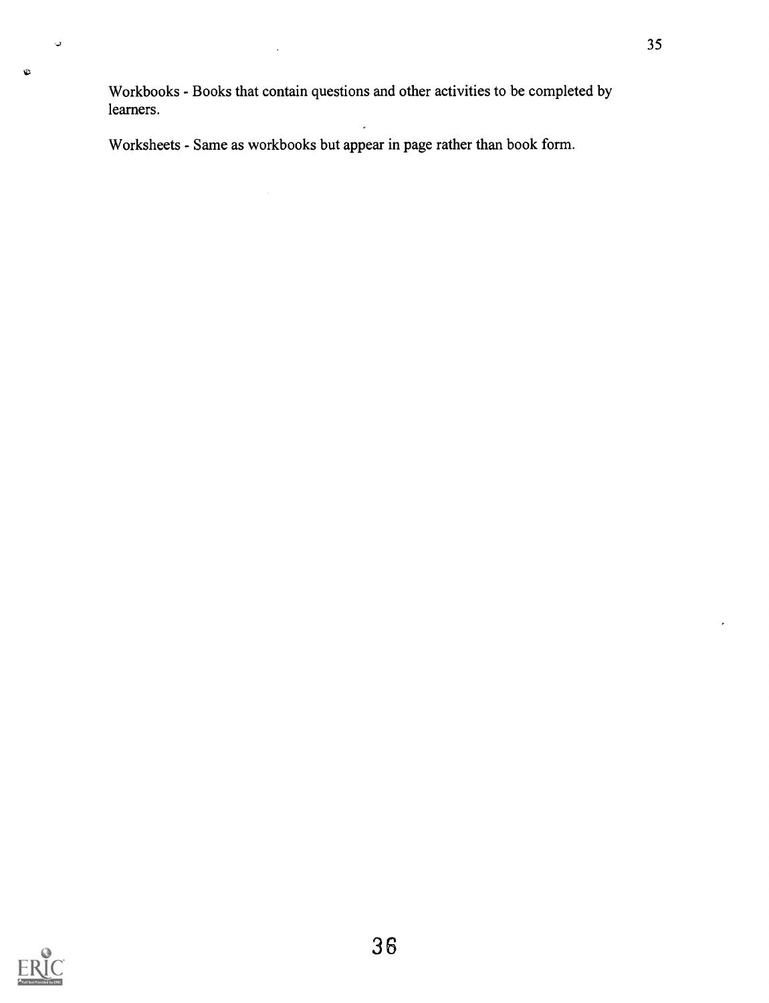Workbooks - Books that contain questions and other activities to be completed by learners.

Worksheets - Same as workbooks but appear in page rather than book form.



 $\downarrow$ 

 $\mathbf{c}$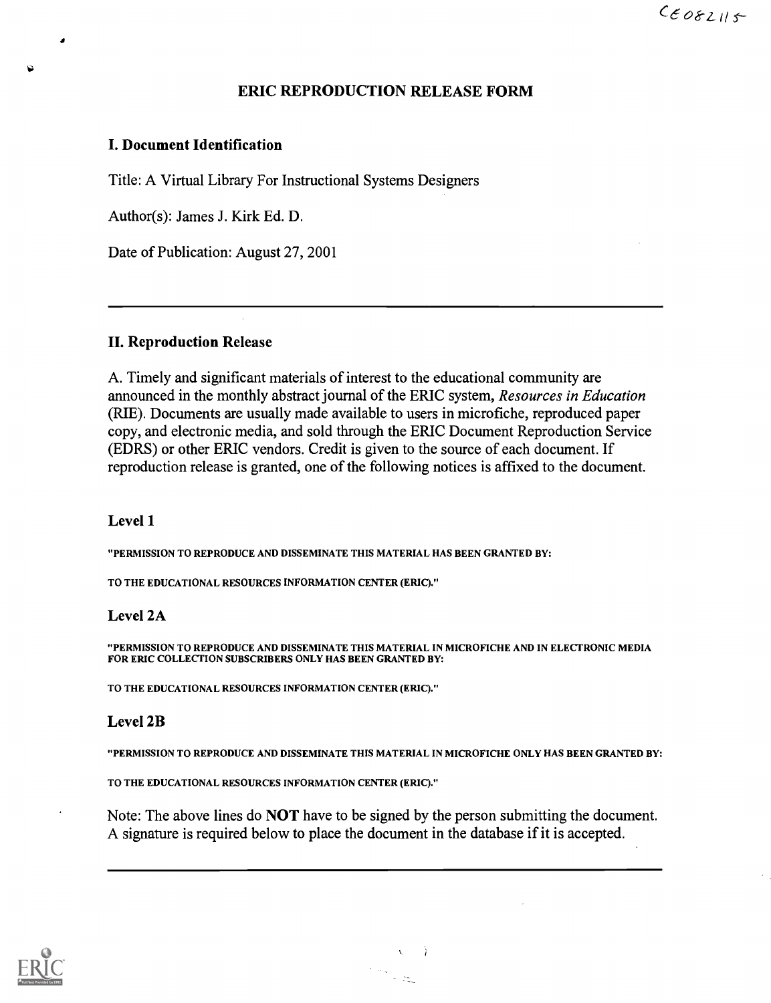## ERIC REPRODUCTION RELEASE FORM

### I. Document Identification

Title: A Virtual Library For Instructional Systems Designers

Author(s): James J. Kirk Ed. D.

Date of Publication: August 27, 2001

### II. Reproduction Release

A. Timely and significant materials of interest to the educational community are announced in the monthly abstract journal of the ERIC system, Resources in Education (RIE). Documents are usually made available to users in microfiche, reproduced paper copy, and electronic media, and sold through the ERIC Document Reproduction Service (EDRS) or other ERIC vendors. Credit is given to the source of each document. If reproduction release is granted, one of the following notices is affixed to the document.

### Level 1

"PERMISSION TO REPRODUCE AND DISSEMINATE THIS MATERIAL HAS BEEN GRANTED BY:

TO THE EDUCATIONAL RESOURCES INFORMATION CENTER (ERIC)."

## Level 2A

"PERMISSION TO REPRODUCE AND DISSEMINATE THIS MATERIAL IN MICROFICHE AND IN ELECTRONIC MEDIA FOR ERIC COLLECTION SUBSCRIBERS ONLY HAS BEEN GRANTED BY:

TO THE EDUCATIONAL RESOURCES INFORMATION CENTER (ERIC)."

## Level 2B

"PERMISSION TO REPRODUCE AND DISSEMINATE THIS MATERIAL IN MICROFICHE ONLY HAS BEEN GRANTED BY:

TO THE EDUCATIONAL RESOURCES INFORMATION CENTER (ERIC)."

Note: The above lines do NOT have to be signed by the person submitting the document. A signature is required below to place the document in the database if it is accepted.

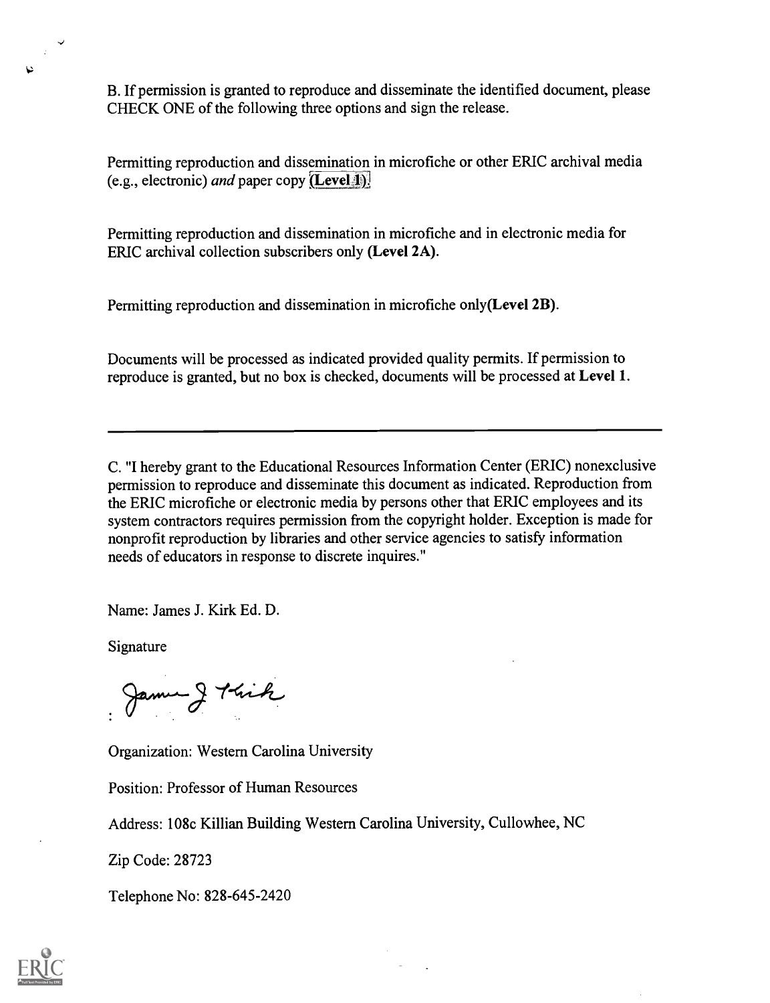B. If permission is granted to reproduce and disseminate the identified document, please CHECK ONE of the following three options and sign the release.

Permitting reproduction and dissemination in microfiche or other ERIC archival media (e.g., electronic) *and* paper copy  $(\text{Level-1})$ .

Permitting reproduction and dissemination in microfiche and in electronic media for ERIC archival collection subscribers only (Level 2A).

Permitting reproduction and dissemination in microfiche only(Level 2B).

Documents will be processed as indicated provided quality permits. If permission to reproduce is granted, but no box is checked, documents will be processed at Level 1.

C. "I hereby grant to the Educational Resources Information Center (ERIC) nonexclusive permission to reproduce and disseminate this document as indicated. Reproduction from the ERIC microfiche or electronic media by persons other that ERIC employees and its system contractors requires permission from the copyright holder. Exception is made for nonprofit reproduction by libraries and other service agencies to satisfy information needs of educators in response to discrete inquires."

Name: James J. Kirk Ed. D.

Signature

James J Kick

Organization: Western Carolina University

Position: Professor of Human Resources

Address: 108c Killian Building Western Carolina University, Cullowhee, NC

Zip Code: 28723

Telephone No: 828-645-2420



 $\mathcal{L}$ ν